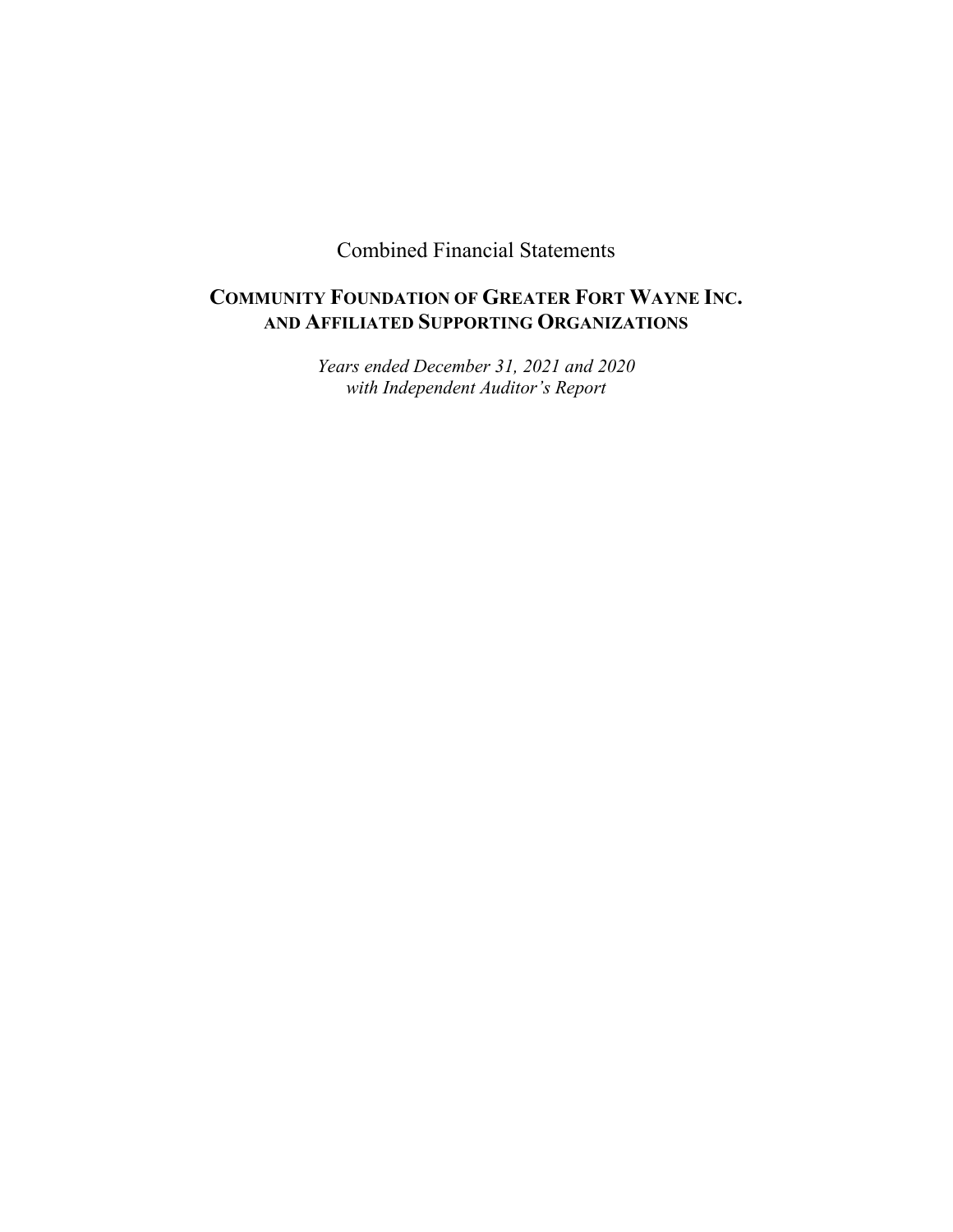Combined Financial Statements

# **COMMUNITY FOUNDATION OF GREATER FORT WAYNE INC. AND AFFILIATED SUPPORTING ORGANIZATIONS**

*Years ended December 31, 2021 and 2020 with Independent Auditor's Report*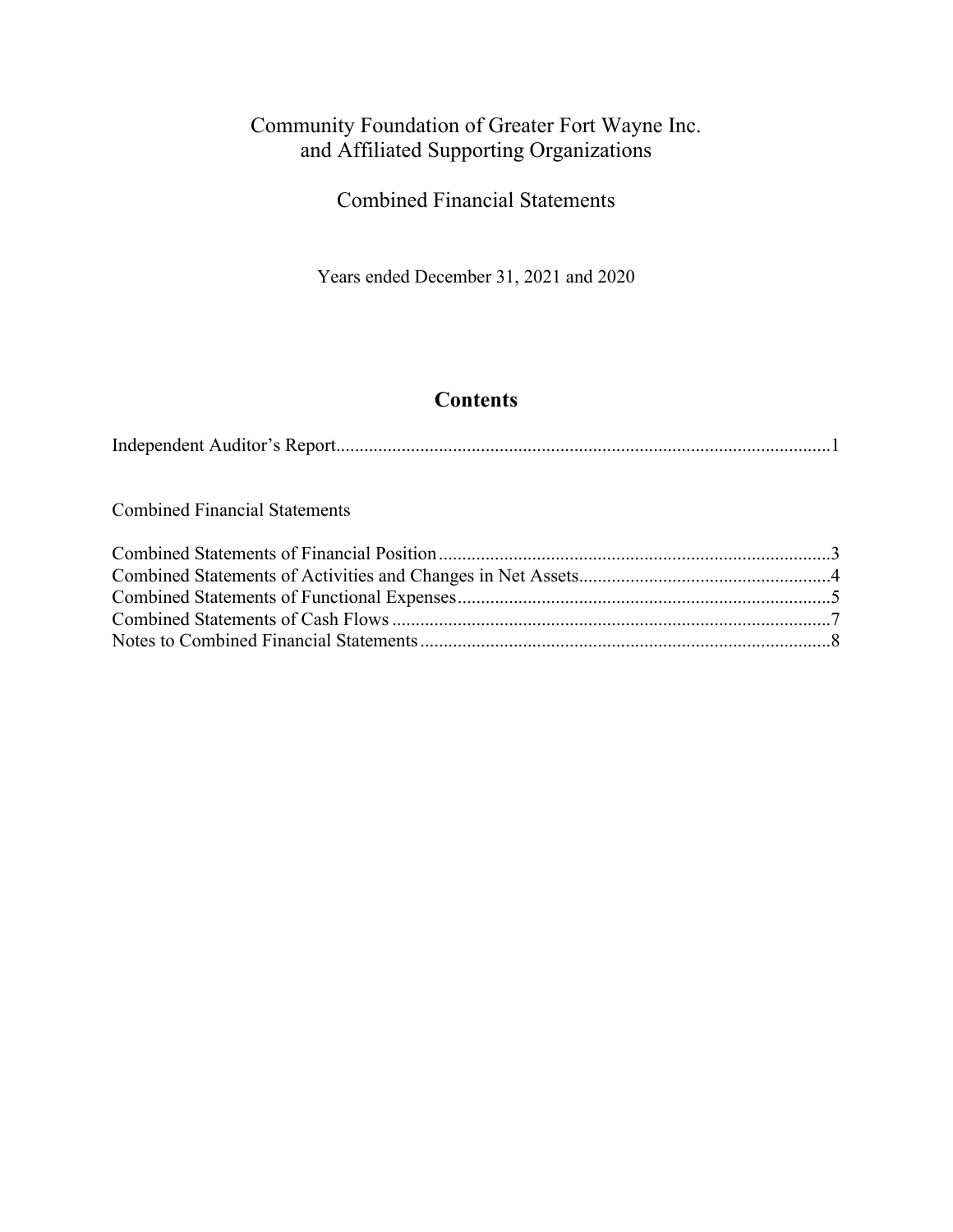Combined Financial Statements

Years ended December 31, 2021 and 2020

# **Contents**

Combined Financial Statements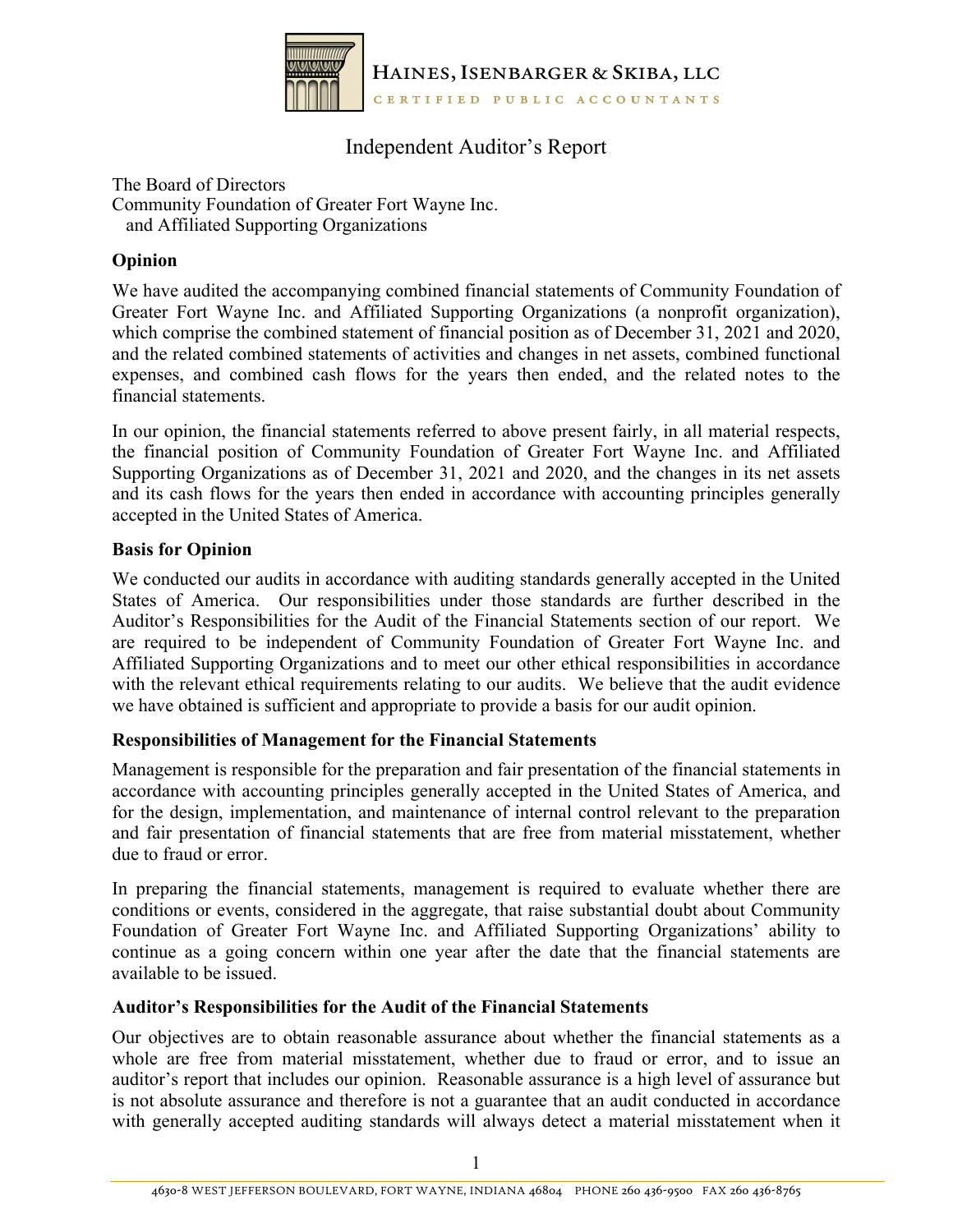

## Independent Auditor's Report

The Board of Directors Community Foundation of Greater Fort Wayne Inc. and Affiliated Supporting Organizations

#### **Opinion**

We have audited the accompanying combined financial statements of Community Foundation of Greater Fort Wayne Inc. and Affiliated Supporting Organizations (a nonprofit organization), which comprise the combined statement of financial position as of December 31, 2021 and 2020, and the related combined statements of activities and changes in net assets, combined functional expenses, and combined cash flows for the years then ended, and the related notes to the financial statements.

In our opinion, the financial statements referred to above present fairly, in all material respects, the financial position of Community Foundation of Greater Fort Wayne Inc. and Affiliated Supporting Organizations as of December 31, 2021 and 2020, and the changes in its net assets and its cash flows for the years then ended in accordance with accounting principles generally accepted in the United States of America.

#### **Basis for Opinion**

We conducted our audits in accordance with auditing standards generally accepted in the United States of America. Our responsibilities under those standards are further described in the Auditor's Responsibilities for the Audit of the Financial Statements section of our report. We are required to be independent of Community Foundation of Greater Fort Wayne Inc. and Affiliated Supporting Organizations and to meet our other ethical responsibilities in accordance with the relevant ethical requirements relating to our audits. We believe that the audit evidence we have obtained is sufficient and appropriate to provide a basis for our audit opinion.

#### **Responsibilities of Management for the Financial Statements**

Management is responsible for the preparation and fair presentation of the financial statements in accordance with accounting principles generally accepted in the United States of America, and for the design, implementation, and maintenance of internal control relevant to the preparation and fair presentation of financial statements that are free from material misstatement, whether due to fraud or error.

In preparing the financial statements, management is required to evaluate whether there are conditions or events, considered in the aggregate, that raise substantial doubt about Community Foundation of Greater Fort Wayne Inc. and Affiliated Supporting Organizations' ability to continue as a going concern within one year after the date that the financial statements are available to be issued.

#### **Auditor's Responsibilities for the Audit of the Financial Statements**

Our objectives are to obtain reasonable assurance about whether the financial statements as a whole are free from material misstatement, whether due to fraud or error, and to issue an auditor's report that includes our opinion. Reasonable assurance is a high level of assurance but is not absolute assurance and therefore is not a guarantee that an audit conducted in accordance with generally accepted auditing standards will always detect a material misstatement when it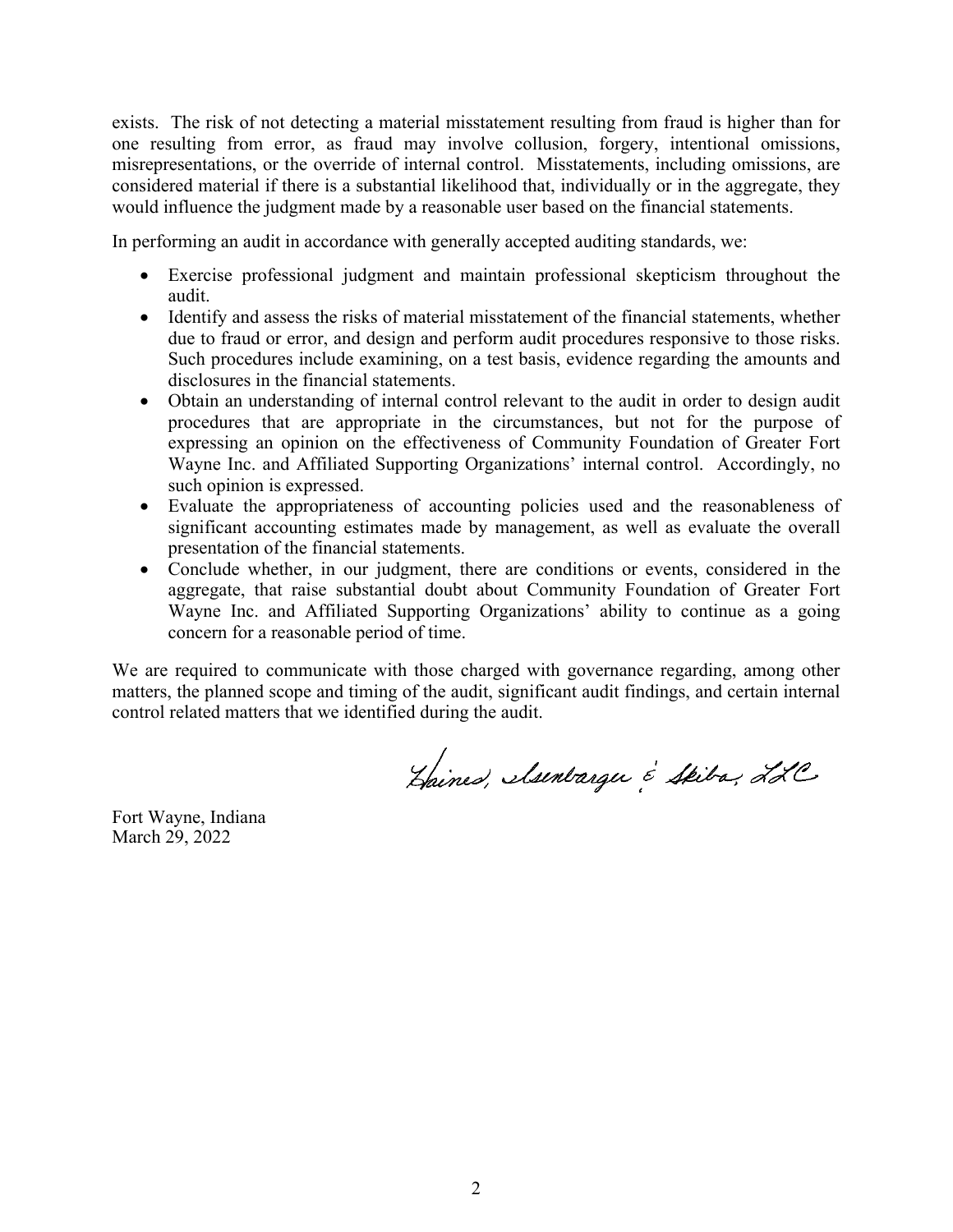exists. The risk of not detecting a material misstatement resulting from fraud is higher than for one resulting from error, as fraud may involve collusion, forgery, intentional omissions, misrepresentations, or the override of internal control. Misstatements, including omissions, are considered material if there is a substantial likelihood that, individually or in the aggregate, they would influence the judgment made by a reasonable user based on the financial statements.

In performing an audit in accordance with generally accepted auditing standards, we:

- Exercise professional judgment and maintain professional skepticism throughout the audit.
- Identify and assess the risks of material misstatement of the financial statements, whether due to fraud or error, and design and perform audit procedures responsive to those risks. Such procedures include examining, on a test basis, evidence regarding the amounts and disclosures in the financial statements.
- Obtain an understanding of internal control relevant to the audit in order to design audit procedures that are appropriate in the circumstances, but not for the purpose of expressing an opinion on the effectiveness of Community Foundation of Greater Fort Wayne Inc. and Affiliated Supporting Organizations' internal control. Accordingly, no such opinion is expressed.
- Evaluate the appropriateness of accounting policies used and the reasonableness of significant accounting estimates made by management, as well as evaluate the overall presentation of the financial statements.
- Conclude whether, in our judgment, there are conditions or events, considered in the aggregate, that raise substantial doubt about Community Foundation of Greater Fort Wayne Inc. and Affiliated Supporting Organizations' ability to continue as a going concern for a reasonable period of time.

We are required to communicate with those charged with governance regarding, among other matters, the planned scope and timing of the audit, significant audit findings, and certain internal control related matters that we identified during the audit.

Haines, Muntargu é Skiba, LLC

Fort Wayne, Indiana March 29, 2022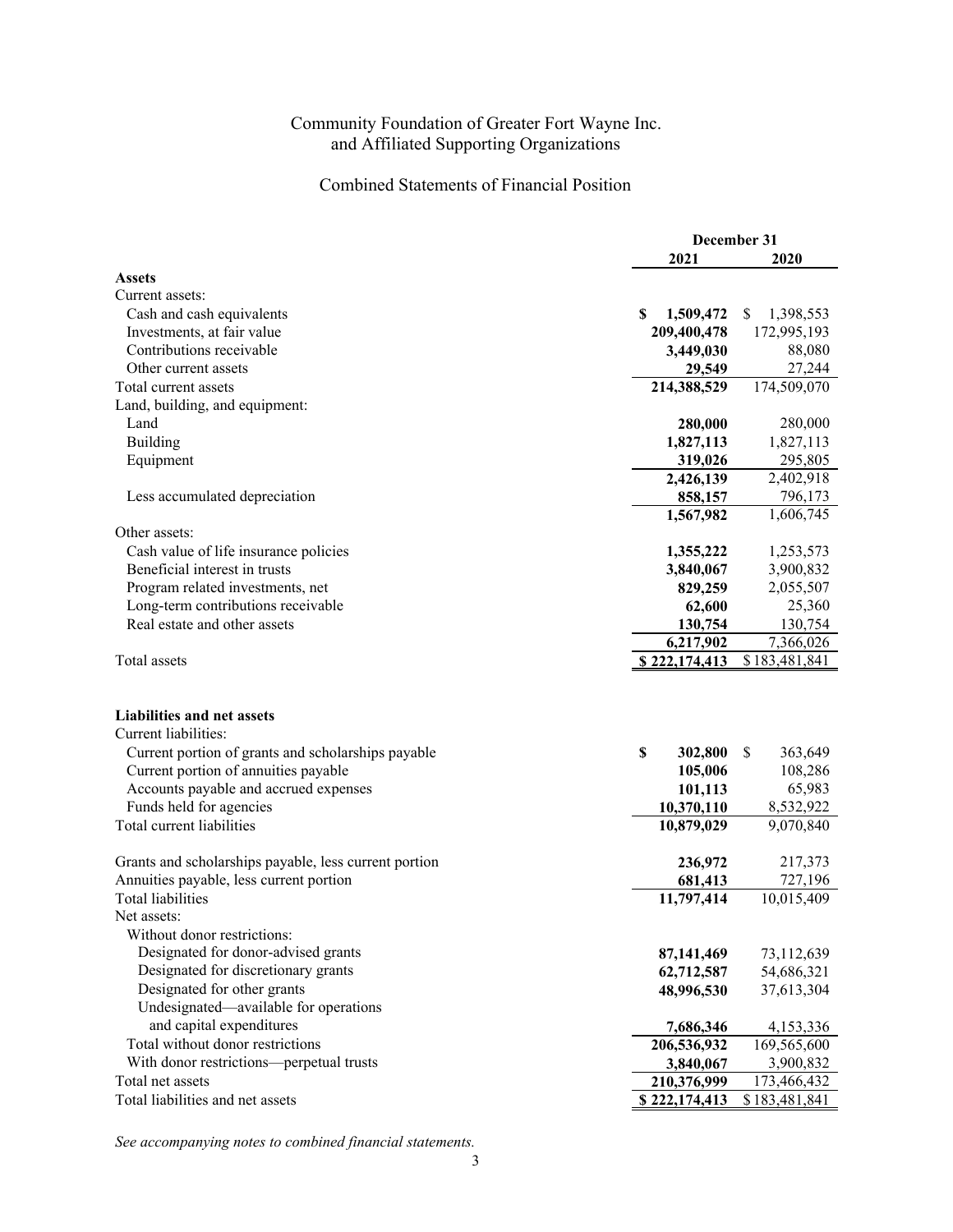### Combined Statements of Financial Position

|                                                       | December 31                |                            |  |
|-------------------------------------------------------|----------------------------|----------------------------|--|
|                                                       | 2021                       | 2020                       |  |
| <b>Assets</b>                                         |                            |                            |  |
| Current assets:                                       |                            |                            |  |
| Cash and cash equivalents                             | S<br>1,509,472             | 1,398,553<br>S.            |  |
| Investments, at fair value                            | 209,400,478                | 172,995,193                |  |
| Contributions receivable                              | 3,449,030                  | 88,080                     |  |
| Other current assets                                  | 29,549                     | 27,244                     |  |
| Total current assets                                  | 214,388,529                | 174,509,070                |  |
| Land, building, and equipment:                        |                            |                            |  |
| Land                                                  | 280,000                    | 280,000                    |  |
| Building                                              | 1,827,113                  | 1,827,113                  |  |
| Equipment                                             | 319,026                    | 295,805                    |  |
|                                                       | 2,426,139                  | 2,402,918                  |  |
| Less accumulated depreciation                         | 858,157                    | 796,173                    |  |
|                                                       | 1,567,982                  | 1,606,745                  |  |
| Other assets:                                         |                            |                            |  |
| Cash value of life insurance policies                 | 1,355,222                  | 1,253,573                  |  |
| Beneficial interest in trusts                         | 3,840,067                  | 3,900,832                  |  |
| Program related investments, net                      | 829,259                    | 2,055,507                  |  |
| Long-term contributions receivable                    | 62,600                     | 25,360                     |  |
| Real estate and other assets                          | 130,754                    | 130,754                    |  |
| Total assets                                          | 6,217,902<br>\$222,174,413 | 7,366,026<br>\$183,481,841 |  |
|                                                       |                            |                            |  |
| <b>Liabilities and net assets</b>                     |                            |                            |  |
| Current liabilities:                                  |                            |                            |  |
| Current portion of grants and scholarships payable    | \$<br>302,800              | \$<br>363,649              |  |
| Current portion of annuities payable                  | 105,006                    | 108,286                    |  |
| Accounts payable and accrued expenses                 | 101,113                    | 65,983                     |  |
| Funds held for agencies                               | 10,370,110                 | 8,532,922                  |  |
| Total current liabilities                             | 10,879,029                 | 9,070,840                  |  |
| Grants and scholarships payable, less current portion | 236,972                    | 217,373                    |  |
| Annuities payable, less current portion               | 681,413                    | 727,196                    |  |
| Total liabilities                                     | 11,797,414                 | 10,015,409                 |  |
| Net assets:                                           |                            |                            |  |
| Without donor restrictions:                           |                            |                            |  |
| Designated for donor-advised grants                   | 87,141,469                 | 73,112,639                 |  |
| Designated for discretionary grants                   | 62,712,587                 | 54,686,321                 |  |
| Designated for other grants                           | 48,996,530                 | 37,613,304                 |  |
| Undesignated-available for operations                 |                            |                            |  |
| and capital expenditures                              | 7,686,346                  | 4,153,336                  |  |
| Total without donor restrictions                      | 206,536,932                | 169,565,600                |  |
| With donor restrictions-perpetual trusts              | 3,840,067                  | 3,900,832                  |  |
| Total net assets                                      | 210,376,999                | 173,466,432                |  |
| Total liabilities and net assets                      | \$222,174,413              | \$183,481,841              |  |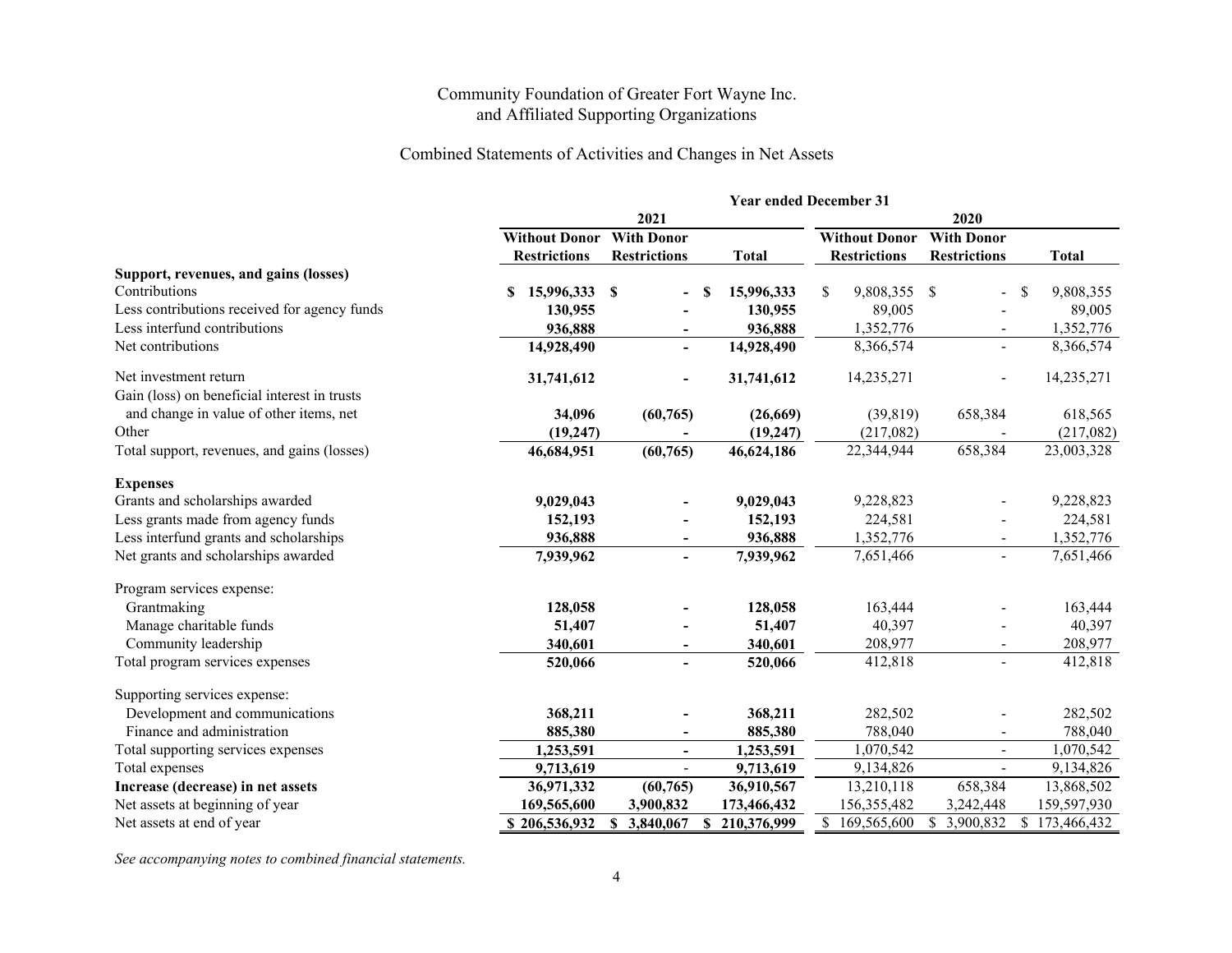#### Combined Statements of Activities and Changes in Net Assets

|                                                                       | <b>Year ended December 31</b> |                          |                   |                             |                          |                  |  |
|-----------------------------------------------------------------------|-------------------------------|--------------------------|-------------------|-----------------------------|--------------------------|------------------|--|
|                                                                       |                               | 2021                     |                   |                             |                          |                  |  |
|                                                                       | <b>Without Donor</b>          | <b>With Donor</b>        |                   | <b>Without Donor</b>        | <b>With Donor</b>        |                  |  |
|                                                                       | <b>Restrictions</b>           | <b>Restrictions</b>      | <b>Total</b>      | <b>Restrictions</b>         | <b>Restrictions</b>      | <b>Total</b>     |  |
| Support, revenues, and gains (losses)                                 |                               |                          |                   |                             |                          |                  |  |
| Contributions                                                         | 15,996,333<br>S               | \$<br>S                  | 15,996,333        | \$<br>9,808,355 \$          |                          | \$<br>9,808,355  |  |
| Less contributions received for agency funds                          | 130,955                       |                          | 130,955           | 89,005                      |                          | 89,005           |  |
| Less interfund contributions                                          | 936,888                       |                          | 936,888           | 1,352,776                   | $\blacksquare$           | 1,352,776        |  |
| Net contributions                                                     | 14,928,490                    | $\blacksquare$           | 14,928,490        | 8,366,574                   | $\blacksquare$           | 8,366,574        |  |
| Net investment return<br>Gain (loss) on beneficial interest in trusts | 31,741,612                    | $\overline{\phantom{a}}$ | 31,741,612        | 14,235,271                  |                          | 14,235,271       |  |
| and change in value of other items, net                               | 34,096                        | (60, 765)                | (26,669)          | (39, 819)                   | 658,384                  | 618,565          |  |
| Other                                                                 | (19, 247)                     |                          | (19, 247)         | (217,082)                   |                          | (217,082)        |  |
| Total support, revenues, and gains (losses)                           | 46,684,951                    | (60, 765)                | 46,624,186        | 22,344,944                  | 658,384                  | 23,003,328       |  |
| <b>Expenses</b>                                                       |                               |                          |                   |                             |                          |                  |  |
| Grants and scholarships awarded                                       | 9,029,043                     |                          | 9,029,043         | 9,228,823                   |                          | 9,228,823        |  |
| Less grants made from agency funds                                    | 152,193                       |                          | 152,193           | 224,581                     |                          | 224,581          |  |
| Less interfund grants and scholarships                                | 936,888                       |                          | 936,888           | 1,352,776                   |                          | 1,352,776        |  |
| Net grants and scholarships awarded                                   | 7,939,962                     |                          | 7,939,962         | 7,651,466                   | $\sim$                   | 7,651,466        |  |
| Program services expense:                                             |                               |                          |                   |                             |                          |                  |  |
| Grantmaking                                                           | 128,058                       |                          | 128,058           | 163,444                     |                          | 163,444          |  |
| Manage charitable funds                                               | 51,407                        |                          | 51,407            | 40,397                      |                          | 40,397           |  |
| Community leadership                                                  | 340,601                       |                          | 340,601           | 208,977                     |                          | 208,977          |  |
| Total program services expenses                                       | 520,066                       |                          | 520,066           | 412,818                     |                          | 412,818          |  |
| Supporting services expense:                                          |                               |                          |                   |                             |                          |                  |  |
| Development and communications                                        | 368,211                       |                          | 368,211           | 282,502                     |                          | 282,502          |  |
| Finance and administration                                            | 885,380                       |                          | 885,380           | 788,040                     |                          | 788,040          |  |
| Total supporting services expenses                                    | 1,253,591                     | $\overline{\phantom{a}}$ | 1,253,591         | 1,070,542                   | $\blacksquare$           | 1,070,542        |  |
| Total expenses                                                        | 9,713,619                     | $\blacksquare$           | 9,713,619         | 9,134,826                   | $\overline{\phantom{a}}$ | 9,134,826        |  |
| Increase (decrease) in net assets                                     | 36,971,332                    | (60, 765)                | 36,910,567        | 13,210,118                  | 658,384                  | 13,868,502       |  |
| Net assets at beginning of year                                       | 169,565,600                   | 3,900,832                | 173,466,432       | 156,355,482                 | 3,242,448                | 159,597,930      |  |
| Net assets at end of year                                             | \$206,536,932                 | S.<br>3,840,067          | 210,376,999<br>\$ | $\mathbb{S}$<br>169,565,600 | 3,900,832                | S<br>173,466,432 |  |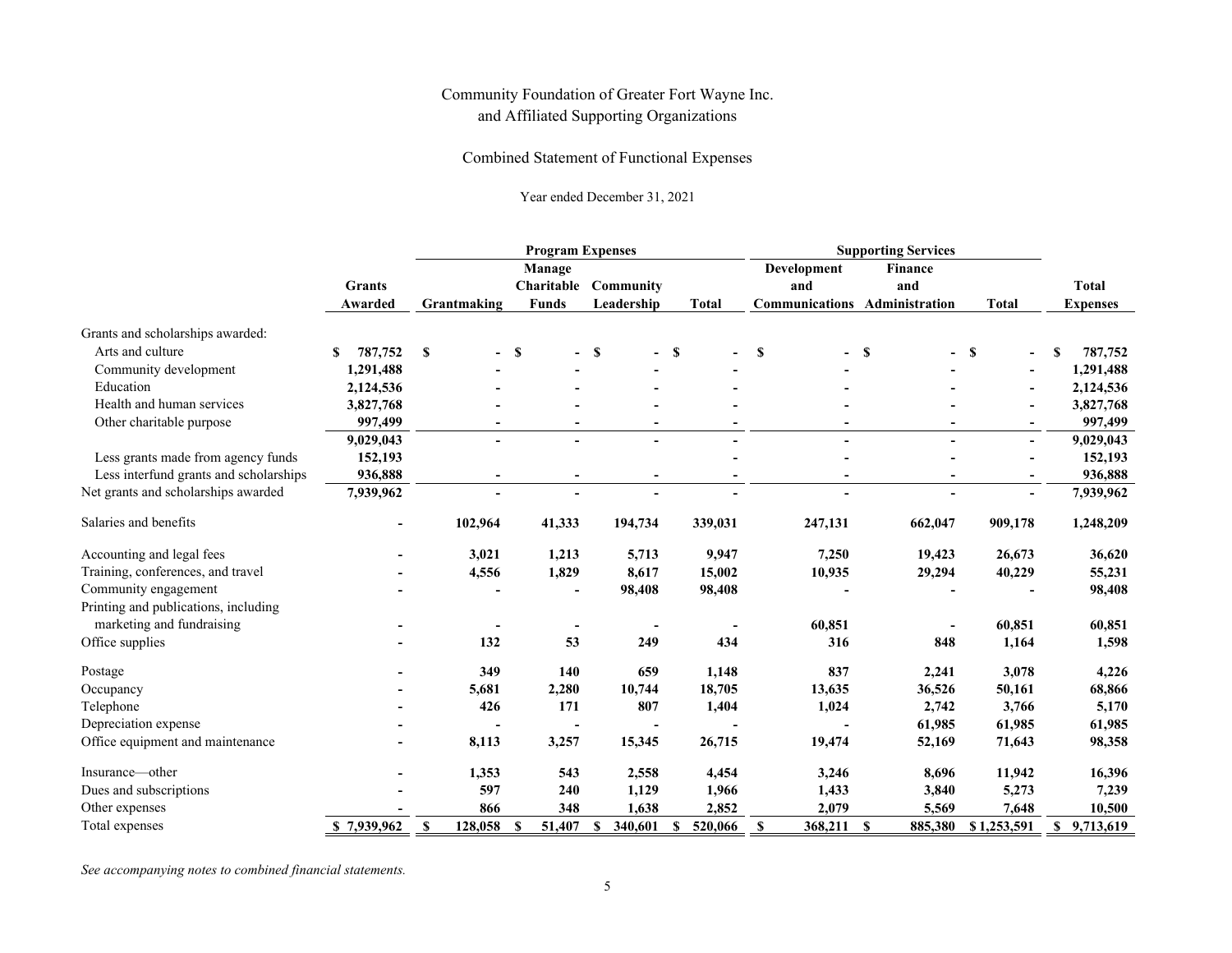Combined Statement of Functional Expenses

Year ended December 31, 2021

|                                        |                          | <b>Program Expenses</b> |                                      |                         |              | <b>Supporting Services</b>           |                                         |                          |                                 |
|----------------------------------------|--------------------------|-------------------------|--------------------------------------|-------------------------|--------------|--------------------------------------|-----------------------------------------|--------------------------|---------------------------------|
|                                        | <b>Grants</b><br>Awarded | Grantmaking             | Manage<br>Charitable<br><b>Funds</b> | Community<br>Leadership | <b>Total</b> | Development<br>and<br>Communications | <b>Finance</b><br>and<br>Administration | <b>Total</b>             | <b>Total</b><br><b>Expenses</b> |
|                                        |                          |                         |                                      |                         |              |                                      |                                         |                          |                                 |
| Grants and scholarships awarded:       |                          |                         |                                      |                         |              |                                      |                                         |                          |                                 |
| Arts and culture                       | 787,752<br>\$            | \$                      | <b>S</b>                             | <b>S</b>                | $-$ \$       | S                                    | S                                       | S                        | 787,752<br>S                    |
| Community development                  | 1,291,488                |                         |                                      |                         |              |                                      |                                         |                          | 1,291,488                       |
| Education                              | 2,124,536                |                         |                                      |                         |              |                                      |                                         |                          | 2,124,536                       |
| Health and human services              | 3,827,768                |                         |                                      |                         |              |                                      |                                         |                          | 3,827,768                       |
| Other charitable purpose               | 997,499                  |                         |                                      |                         |              |                                      |                                         |                          | 997,499                         |
|                                        | 9,029,043                |                         |                                      |                         |              |                                      |                                         | $\sim$                   | 9,029,043                       |
| Less grants made from agency funds     | 152,193                  |                         |                                      |                         |              |                                      |                                         |                          | 152,193                         |
| Less interfund grants and scholarships | 936,888                  |                         | $\overline{\phantom{a}}$             | -                       |              | $\overline{\phantom{a}}$             | $\blacksquare$                          | $\overline{\phantom{a}}$ | 936,888                         |
| Net grants and scholarships awarded    | 7,939,962                |                         |                                      |                         |              |                                      |                                         | $\overline{\phantom{0}}$ | 7,939,962                       |
| Salaries and benefits                  | $\blacksquare$           | 102,964                 | 41,333                               | 194,734                 | 339,031      | 247,131                              | 662,047                                 | 909,178                  | 1,248,209                       |
| Accounting and legal fees              |                          | 3,021                   | 1,213                                | 5,713                   | 9,947        | 7,250                                | 19,423                                  | 26,673                   | 36,620                          |
| Training, conferences, and travel      |                          | 4,556                   | 1,829                                | 8,617                   | 15,002       | 10,935                               | 29,294                                  | 40,229                   | 55,231                          |
| Community engagement                   |                          |                         |                                      | 98,408                  | 98,408       |                                      |                                         |                          | 98,408                          |
| Printing and publications, including   |                          |                         |                                      |                         |              |                                      |                                         |                          |                                 |
| marketing and fundraising              |                          |                         |                                      |                         |              | 60,851                               |                                         | 60,851                   | 60,851                          |
| Office supplies                        |                          | 132                     | 53                                   | 249                     | 434          | 316                                  | 848                                     | 1,164                    | 1,598                           |
| Postage                                |                          | 349                     | 140                                  | 659                     | 1,148        | 837                                  | 2,241                                   | 3,078                    | 4,226                           |
| Occupancy                              |                          | 5,681                   | 2,280                                | 10,744                  | 18,705       | 13,635                               | 36,526                                  | 50,161                   | 68,866                          |
| Telephone                              |                          | 426                     | 171                                  | 807                     | 1,404        | 1,024                                | 2,742                                   | 3,766                    | 5,170                           |
| Depreciation expense                   |                          |                         |                                      |                         |              |                                      | 61,985                                  | 61,985                   | 61,985                          |
| Office equipment and maintenance       |                          | 8,113                   | 3,257                                | 15,345                  | 26,715       | 19,474                               | 52,169                                  | 71,643                   | 98,358                          |
| Insurance—other                        |                          | 1,353                   | 543                                  | 2,558                   | 4,454        | 3,246                                | 8,696                                   | 11,942                   | 16,396                          |
| Dues and subscriptions                 |                          | 597                     | 240                                  | 1,129                   | 1,966        | 1,433                                | 3,840                                   | 5,273                    | 7,239                           |
| Other expenses                         |                          | 866                     | 348                                  | 1,638                   | 2,852        | 2,079                                | 5,569                                   | 7,648                    | 10.500                          |
| Total expenses                         | \$7,939,962              | $\mathbf S$<br>128,058  | 51,407<br>S                          | 340,601<br>S            | 520,066<br>S | 368,211 \$<br>S                      | 885,380                                 | \$1,253,591              | \$9,713,619                     |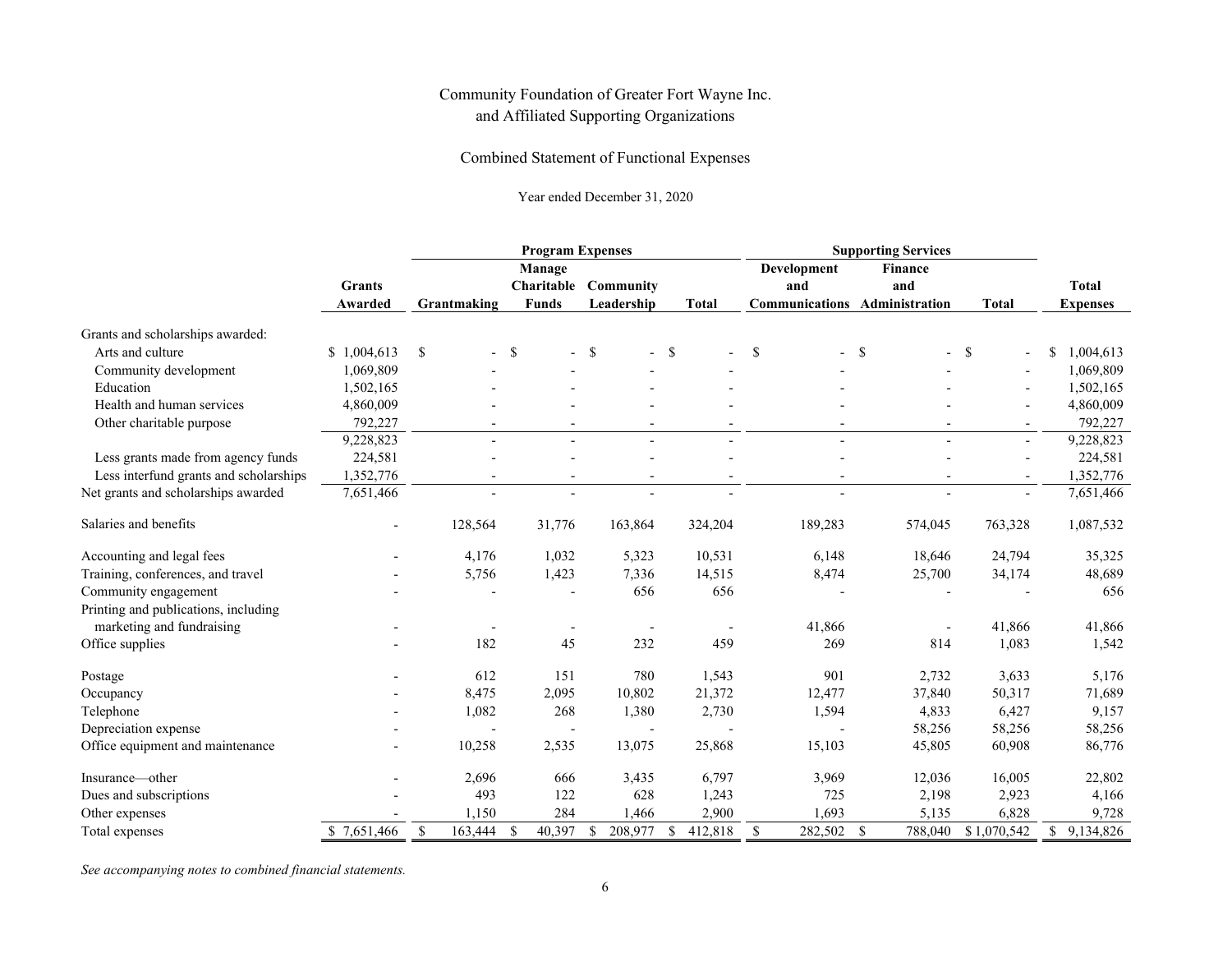#### Combined Statement of Functional Expenses

#### Year ended December 31, 2020

|                                        |                          | <b>Program Expenses</b>  |                                      |                          |                          | <b>Supporting Services</b>                                 |                          |                |                                 |
|----------------------------------------|--------------------------|--------------------------|--------------------------------------|--------------------------|--------------------------|------------------------------------------------------------|--------------------------|----------------|---------------------------------|
|                                        | Grants<br>Awarded        | Grantmaking              | Manage<br>Charitable<br><b>Funds</b> | Community<br>Leadership  | <b>Total</b>             | Development<br>and<br><b>Communications Administration</b> | <b>Finance</b><br>and    | <b>Total</b>   | <b>Total</b><br><b>Expenses</b> |
|                                        |                          |                          |                                      |                          |                          |                                                            |                          |                |                                 |
| Grants and scholarships awarded:       |                          |                          |                                      |                          |                          |                                                            |                          |                |                                 |
| Arts and culture                       | \$1,004,613              | \$                       | -\$                                  | \$<br>$-$ \$             |                          | $\mathcal{S}$                                              | -S                       | -\$            | \$<br>1,004,613                 |
| Community development                  | 1,069,809                |                          |                                      |                          |                          |                                                            |                          |                | 1,069,809                       |
| Education                              | 1,502,165                |                          |                                      |                          |                          |                                                            |                          |                | 1,502,165                       |
| Health and human services              | 4,860,009                |                          |                                      |                          |                          |                                                            |                          |                | 4,860,009                       |
| Other charitable purpose               | 792,227                  |                          |                                      |                          |                          |                                                            |                          | $\blacksquare$ | 792,227                         |
|                                        | 9,228,823                |                          |                                      |                          |                          | $\overline{a}$                                             |                          | $\mathbf{r}$   | 9,228,823                       |
| Less grants made from agency funds     | 224,581                  |                          |                                      |                          |                          |                                                            |                          | $\blacksquare$ | 224,581                         |
| Less interfund grants and scholarships | 1,352,776                | $\overline{\phantom{a}}$ | $\overline{\phantom{a}}$             | $\overline{\phantom{a}}$ | $\overline{\phantom{a}}$ | $\overline{\phantom{a}}$                                   | $\overline{\phantom{a}}$ | $\blacksquare$ | 1,352,776                       |
| Net grants and scholarships awarded    | 7,651,466                |                          | $\overline{\phantom{a}}$             |                          |                          | $\overline{a}$                                             |                          | $\blacksquare$ | 7,651,466                       |
| Salaries and benefits                  | $\overline{\phantom{a}}$ | 128,564                  | 31,776                               | 163,864                  | 324,204                  | 189,283                                                    | 574,045                  | 763,328        | 1,087,532                       |
| Accounting and legal fees              |                          | 4,176                    | 1,032                                | 5,323                    | 10,531                   | 6,148                                                      | 18,646                   | 24,794         | 35,325                          |
| Training, conferences, and travel      |                          | 5,756                    | 1,423                                | 7,336                    | 14,515                   | 8,474                                                      | 25,700                   | 34,174         | 48,689                          |
| Community engagement                   |                          |                          |                                      | 656                      | 656                      |                                                            |                          |                | 656                             |
| Printing and publications, including   |                          |                          |                                      |                          |                          |                                                            |                          |                |                                 |
| marketing and fundraising              |                          |                          |                                      |                          |                          | 41,866                                                     |                          | 41,866         | 41,866                          |
| Office supplies                        |                          | 182                      | 45                                   | 232                      | 459                      | 269                                                        | 814                      | 1,083          | 1,542                           |
| Postage                                |                          | 612                      | 151                                  | 780                      | 1,543                    | 901                                                        | 2,732                    | 3,633          | 5,176                           |
| Occupancy                              |                          | 8,475                    | 2,095                                | 10,802                   | 21,372                   | 12,477                                                     | 37,840                   | 50,317         | 71,689                          |
| Telephone                              |                          | 1,082                    | 268                                  | 1,380                    | 2,730                    | 1,594                                                      | 4,833                    | 6,427          | 9,157                           |
| Depreciation expense                   |                          |                          |                                      |                          |                          |                                                            | 58,256                   | 58,256         | 58,256                          |
| Office equipment and maintenance       |                          | 10,258                   | 2,535                                | 13,075                   | 25,868                   | 15,103                                                     | 45,805                   | 60,908         | 86,776                          |
| Insurance—other                        |                          | 2,696                    | 666                                  | 3,435                    | 6,797                    | 3,969                                                      | 12,036                   | 16,005         | 22,802                          |
| Dues and subscriptions                 |                          | 493                      | 122                                  | 628                      | 1,243                    | 725                                                        | 2,198                    | 2,923          | 4,166                           |
| Other expenses                         |                          | 1,150                    | 284                                  | 1,466                    | 2,900                    | 1,693                                                      | 5,135                    | 6,828          | 9,728                           |
| Total expenses                         | \$7,651,466              | \$<br>163,444            | 40,397<br>\$                         | \$<br>208,977            | 412,818<br>\$            | 282,502 \$<br>\$                                           | 788,040                  | \$1,070,542    | \$9,134,826                     |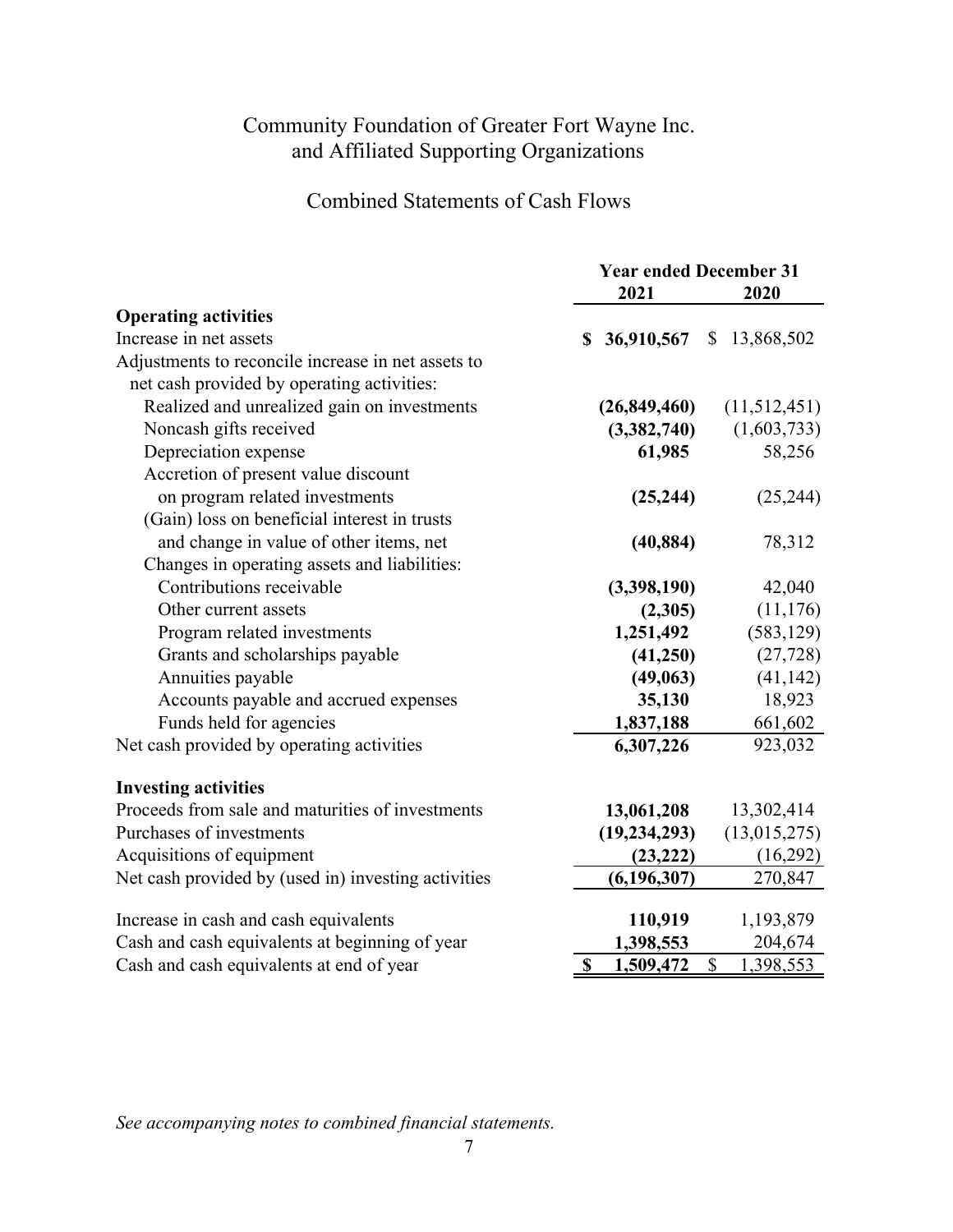Combined Statements of Cash Flows

|                                                     | <b>Year ended December 31</b> |                           |  |  |
|-----------------------------------------------------|-------------------------------|---------------------------|--|--|
|                                                     | 2021                          | 2020                      |  |  |
| <b>Operating activities</b>                         |                               |                           |  |  |
| Increase in net assets                              | 36,910,567<br>\$              | \$13,868,502              |  |  |
| Adjustments to reconcile increase in net assets to  |                               |                           |  |  |
| net cash provided by operating activities:          |                               |                           |  |  |
| Realized and unrealized gain on investments         | (26,849,460)                  | (11,512,451)              |  |  |
| Noncash gifts received                              | (3,382,740)                   | (1,603,733)               |  |  |
| Depreciation expense                                | 61,985                        | 58,256                    |  |  |
| Accretion of present value discount                 |                               |                           |  |  |
| on program related investments                      | (25, 244)                     | (25, 244)                 |  |  |
| (Gain) loss on beneficial interest in trusts        |                               |                           |  |  |
| and change in value of other items, net             | (40, 884)                     | 78,312                    |  |  |
| Changes in operating assets and liabilities:        |                               |                           |  |  |
| Contributions receivable                            | (3,398,190)                   | 42,040                    |  |  |
| Other current assets                                | (2,305)                       | (11, 176)                 |  |  |
| Program related investments                         | 1,251,492                     | (583, 129)                |  |  |
| Grants and scholarships payable                     | (41,250)                      | (27, 728)                 |  |  |
| Annuities payable                                   | (49,063)                      | (41, 142)                 |  |  |
| Accounts payable and accrued expenses               | 35,130                        | 18,923                    |  |  |
| Funds held for agencies                             | 1,837,188                     | 661,602                   |  |  |
| Net cash provided by operating activities           | 6,307,226                     | 923,032                   |  |  |
| <b>Investing activities</b>                         |                               |                           |  |  |
| Proceeds from sale and maturities of investments    | 13,061,208                    | 13,302,414                |  |  |
| Purchases of investments                            | (19, 234, 293)                | (13,015,275)              |  |  |
| Acquisitions of equipment                           | (23, 222)                     | (16,292)                  |  |  |
| Net cash provided by (used in) investing activities | (6, 196, 307)                 | 270,847                   |  |  |
| Increase in cash and cash equivalents               | 110,919                       | 1,193,879                 |  |  |
| Cash and cash equivalents at beginning of year      | 1,398,553                     | 204,674                   |  |  |
| Cash and cash equivalents at end of year            | \$<br>1,509,472               | $\mathbb{S}$<br>1,398,553 |  |  |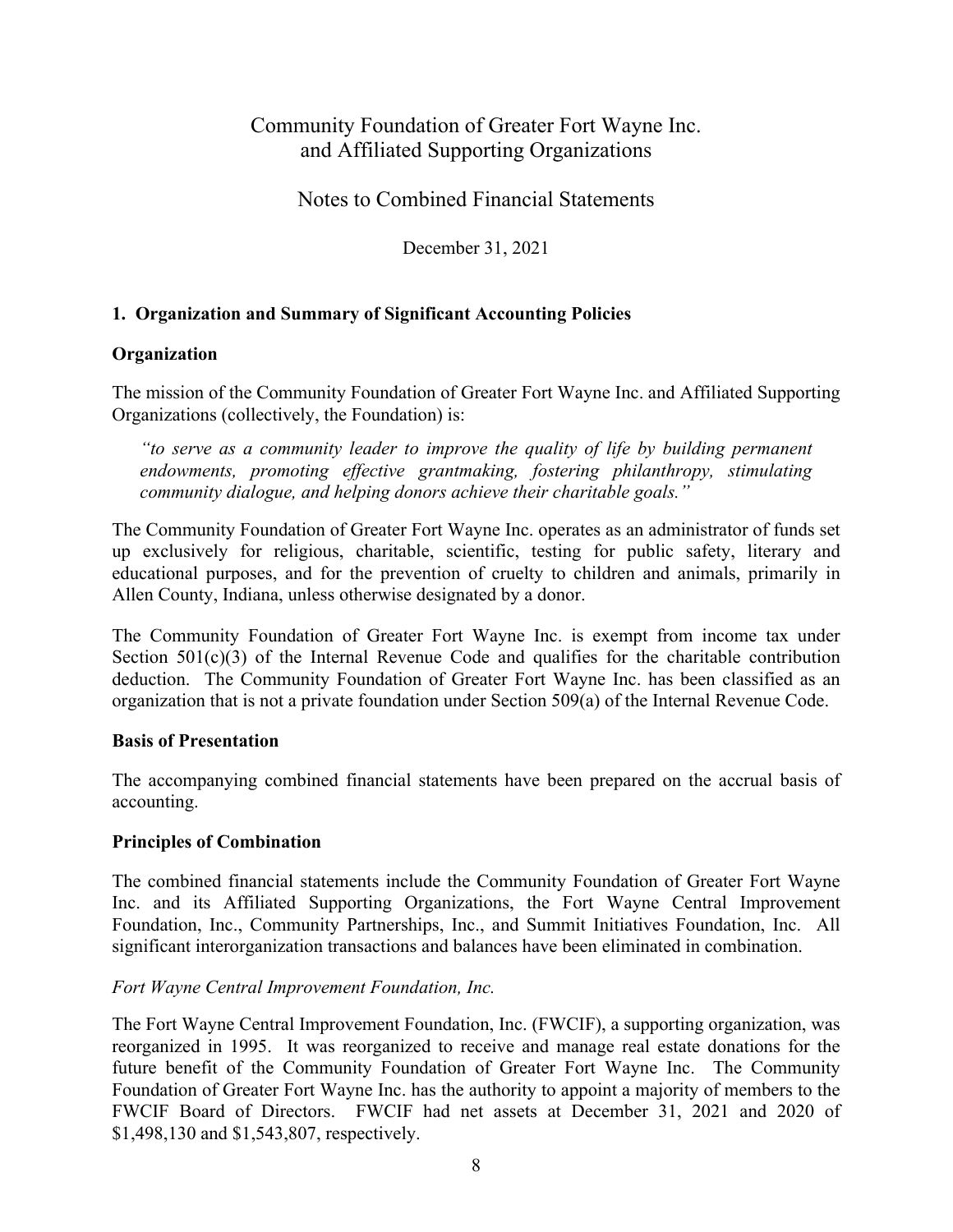Notes to Combined Financial Statements

December 31, 2021

### **1. Organization and Summary of Significant Accounting Policies**

### **Organization**

The mission of the Community Foundation of Greater Fort Wayne Inc. and Affiliated Supporting Organizations (collectively, the Foundation) is:

*"to serve as a community leader to improve the quality of life by building permanent endowments, promoting effective grantmaking, fostering philanthropy, stimulating community dialogue, and helping donors achieve their charitable goals."* 

The Community Foundation of Greater Fort Wayne Inc. operates as an administrator of funds set up exclusively for religious, charitable, scientific, testing for public safety, literary and educational purposes, and for the prevention of cruelty to children and animals, primarily in Allen County, Indiana, unless otherwise designated by a donor.

The Community Foundation of Greater Fort Wayne Inc. is exempt from income tax under Section  $501(c)(3)$  of the Internal Revenue Code and qualifies for the charitable contribution deduction. The Community Foundation of Greater Fort Wayne Inc. has been classified as an organization that is not a private foundation under Section 509(a) of the Internal Revenue Code.

### **Basis of Presentation**

The accompanying combined financial statements have been prepared on the accrual basis of accounting.

### **Principles of Combination**

The combined financial statements include the Community Foundation of Greater Fort Wayne Inc. and its Affiliated Supporting Organizations, the Fort Wayne Central Improvement Foundation, Inc., Community Partnerships, Inc., and Summit Initiatives Foundation, Inc. All significant interorganization transactions and balances have been eliminated in combination.

### *Fort Wayne Central Improvement Foundation, Inc.*

The Fort Wayne Central Improvement Foundation, Inc. (FWCIF), a supporting organization, was reorganized in 1995. It was reorganized to receive and manage real estate donations for the future benefit of the Community Foundation of Greater Fort Wayne Inc. The Community Foundation of Greater Fort Wayne Inc. has the authority to appoint a majority of members to the FWCIF Board of Directors. FWCIF had net assets at December 31, 2021 and 2020 of \$1,498,130 and \$1,543,807, respectively.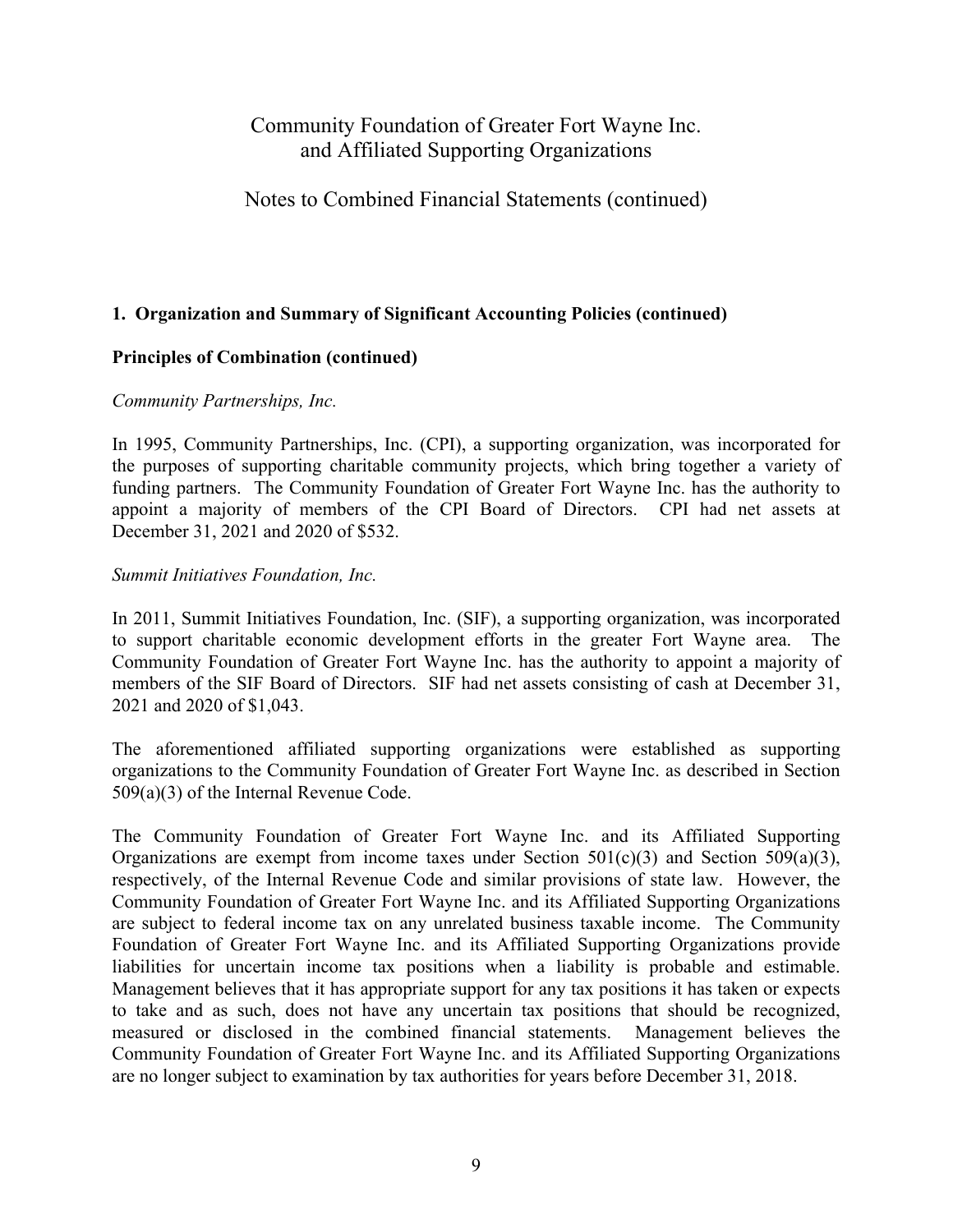### Notes to Combined Financial Statements (continued)

#### **1. Organization and Summary of Significant Accounting Policies (continued)**

#### **Principles of Combination (continued)**

#### *Community Partnerships, Inc.*

In 1995, Community Partnerships, Inc. (CPI), a supporting organization, was incorporated for the purposes of supporting charitable community projects, which bring together a variety of funding partners. The Community Foundation of Greater Fort Wayne Inc. has the authority to appoint a majority of members of the CPI Board of Directors. CPI had net assets at December 31, 2021 and 2020 of \$532.

#### *Summit Initiatives Foundation, Inc.*

In 2011, Summit Initiatives Foundation, Inc. (SIF), a supporting organization, was incorporated to support charitable economic development efforts in the greater Fort Wayne area. The Community Foundation of Greater Fort Wayne Inc. has the authority to appoint a majority of members of the SIF Board of Directors. SIF had net assets consisting of cash at December 31, 2021 and 2020 of \$1,043.

The aforementioned affiliated supporting organizations were established as supporting organizations to the Community Foundation of Greater Fort Wayne Inc. as described in Section 509(a)(3) of the Internal Revenue Code.

The Community Foundation of Greater Fort Wayne Inc. and its Affiliated Supporting Organizations are exempt from income taxes under Section  $501(c)(3)$  and Section  $509(a)(3)$ , respectively, of the Internal Revenue Code and similar provisions of state law. However, the Community Foundation of Greater Fort Wayne Inc. and its Affiliated Supporting Organizations are subject to federal income tax on any unrelated business taxable income. The Community Foundation of Greater Fort Wayne Inc. and its Affiliated Supporting Organizations provide liabilities for uncertain income tax positions when a liability is probable and estimable. Management believes that it has appropriate support for any tax positions it has taken or expects to take and as such, does not have any uncertain tax positions that should be recognized, measured or disclosed in the combined financial statements. Management believes the Community Foundation of Greater Fort Wayne Inc. and its Affiliated Supporting Organizations are no longer subject to examination by tax authorities for years before December 31, 2018.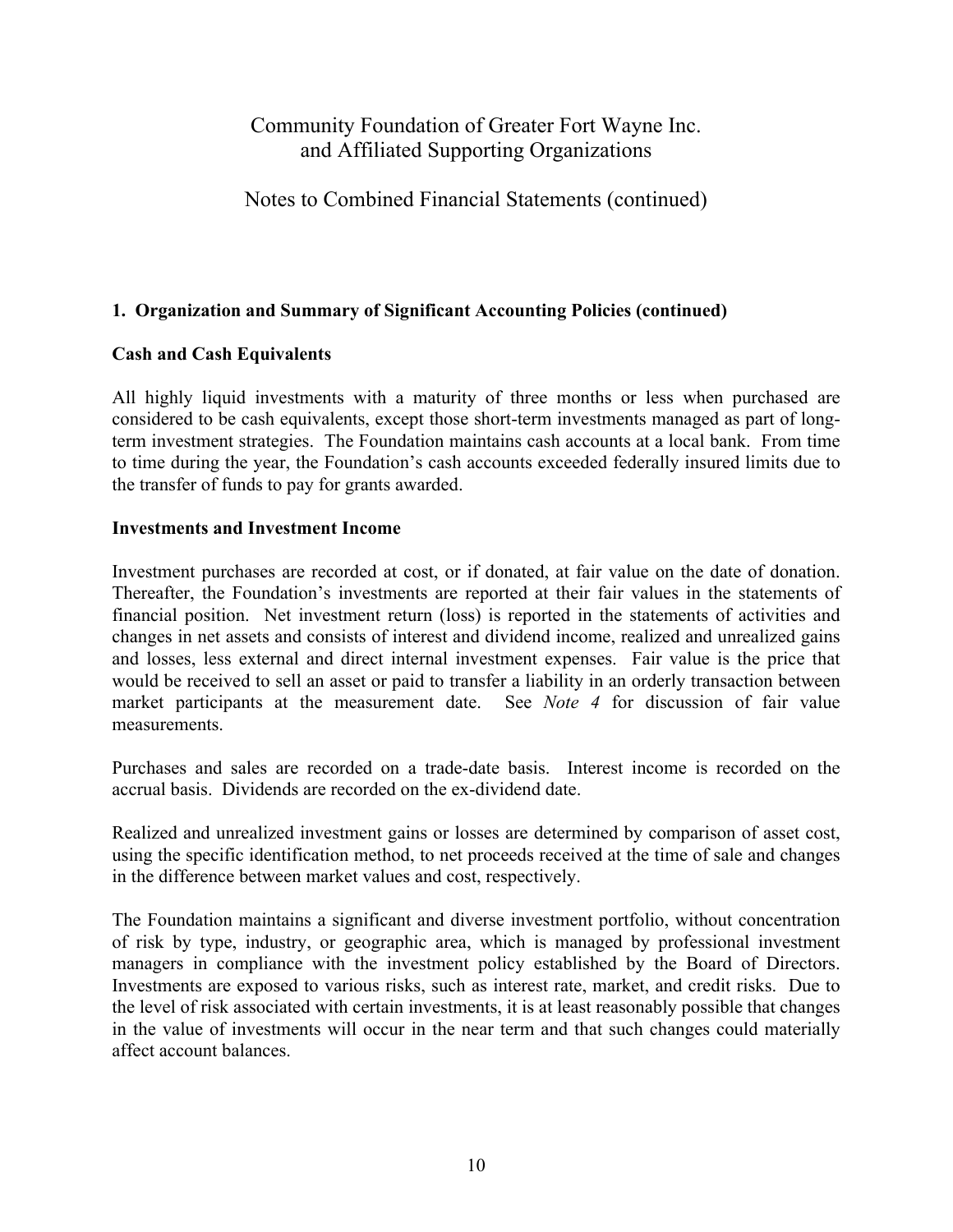### Notes to Combined Financial Statements (continued)

### **1. Organization and Summary of Significant Accounting Policies (continued)**

#### **Cash and Cash Equivalents**

All highly liquid investments with a maturity of three months or less when purchased are considered to be cash equivalents, except those short-term investments managed as part of longterm investment strategies. The Foundation maintains cash accounts at a local bank. From time to time during the year, the Foundation's cash accounts exceeded federally insured limits due to the transfer of funds to pay for grants awarded.

#### **Investments and Investment Income**

Investment purchases are recorded at cost, or if donated, at fair value on the date of donation. Thereafter, the Foundation's investments are reported at their fair values in the statements of financial position. Net investment return (loss) is reported in the statements of activities and changes in net assets and consists of interest and dividend income, realized and unrealized gains and losses, less external and direct internal investment expenses. Fair value is the price that would be received to sell an asset or paid to transfer a liability in an orderly transaction between market participants at the measurement date. See *Note 4* for discussion of fair value measurements.

Purchases and sales are recorded on a trade-date basis. Interest income is recorded on the accrual basis. Dividends are recorded on the ex-dividend date.

Realized and unrealized investment gains or losses are determined by comparison of asset cost, using the specific identification method, to net proceeds received at the time of sale and changes in the difference between market values and cost, respectively.

The Foundation maintains a significant and diverse investment portfolio, without concentration of risk by type, industry, or geographic area, which is managed by professional investment managers in compliance with the investment policy established by the Board of Directors. Investments are exposed to various risks, such as interest rate, market, and credit risks. Due to the level of risk associated with certain investments, it is at least reasonably possible that changes in the value of investments will occur in the near term and that such changes could materially affect account balances.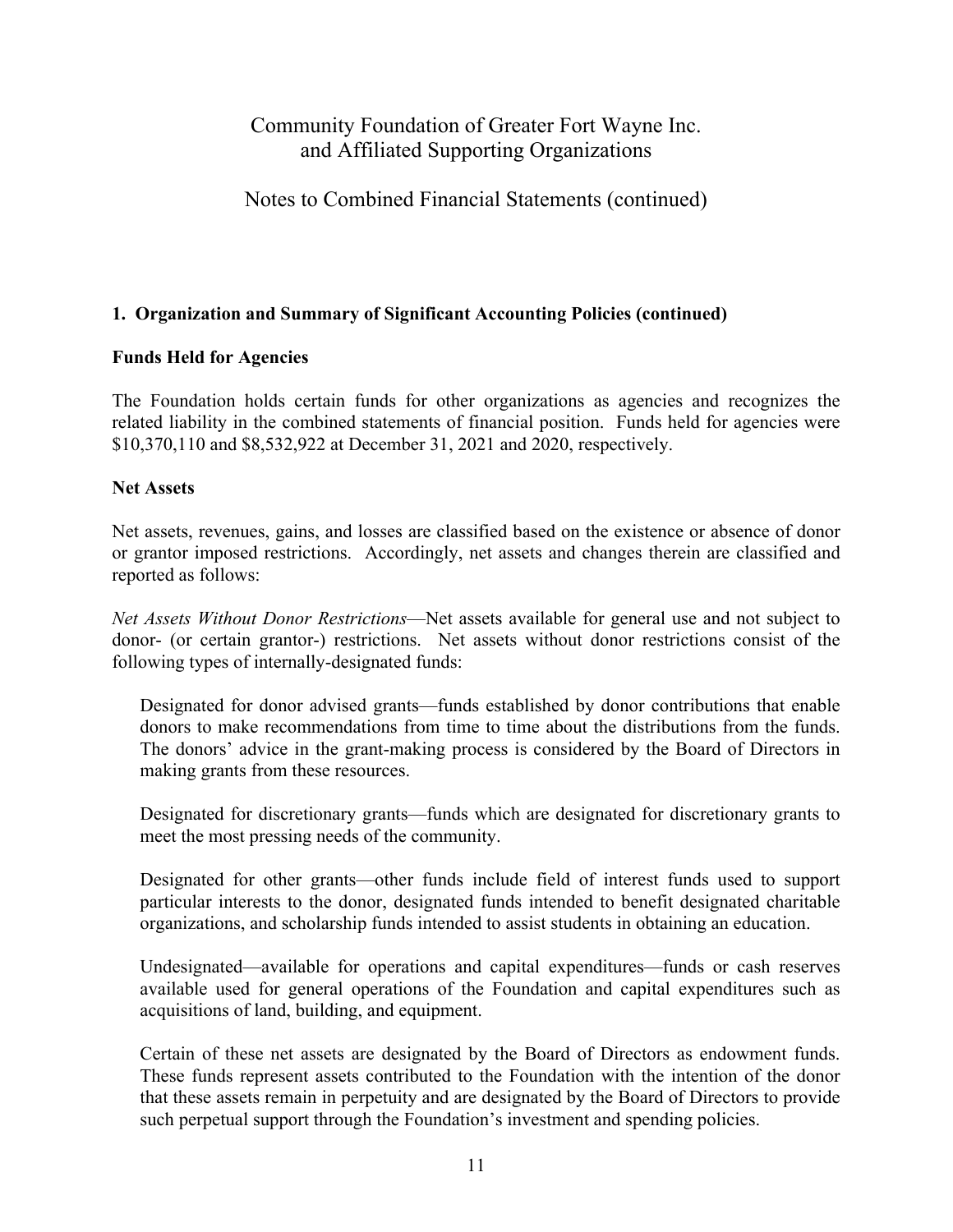### Notes to Combined Financial Statements (continued)

### **1. Organization and Summary of Significant Accounting Policies (continued)**

#### **Funds Held for Agencies**

The Foundation holds certain funds for other organizations as agencies and recognizes the related liability in the combined statements of financial position. Funds held for agencies were \$10,370,110 and \$8,532,922 at December 31, 2021 and 2020, respectively.

#### **Net Assets**

Net assets, revenues, gains, and losses are classified based on the existence or absence of donor or grantor imposed restrictions. Accordingly, net assets and changes therein are classified and reported as follows:

*Net Assets Without Donor Restrictions*—Net assets available for general use and not subject to donor- (or certain grantor-) restrictions. Net assets without donor restrictions consist of the following types of internally-designated funds:

Designated for donor advised grants—funds established by donor contributions that enable donors to make recommendations from time to time about the distributions from the funds. The donors' advice in the grant-making process is considered by the Board of Directors in making grants from these resources.

Designated for discretionary grants—funds which are designated for discretionary grants to meet the most pressing needs of the community.

Designated for other grants—other funds include field of interest funds used to support particular interests to the donor, designated funds intended to benefit designated charitable organizations, and scholarship funds intended to assist students in obtaining an education.

Undesignated—available for operations and capital expenditures—funds or cash reserves available used for general operations of the Foundation and capital expenditures such as acquisitions of land, building, and equipment.

Certain of these net assets are designated by the Board of Directors as endowment funds. These funds represent assets contributed to the Foundation with the intention of the donor that these assets remain in perpetuity and are designated by the Board of Directors to provide such perpetual support through the Foundation's investment and spending policies.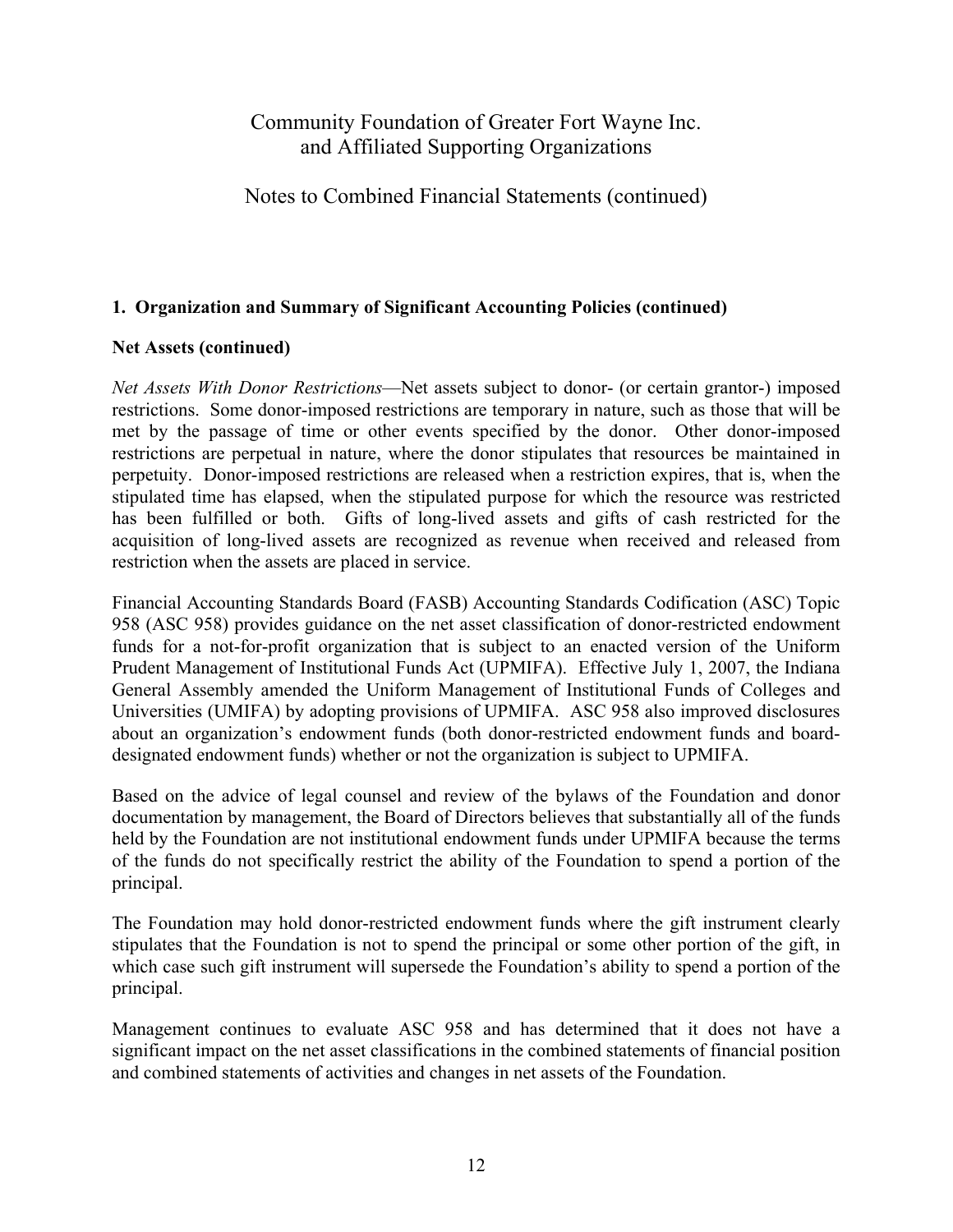Notes to Combined Financial Statements (continued)

### **1. Organization and Summary of Significant Accounting Policies (continued)**

### **Net Assets (continued)**

*Net Assets With Donor Restrictions*—Net assets subject to donor- (or certain grantor-) imposed restrictions. Some donor-imposed restrictions are temporary in nature, such as those that will be met by the passage of time or other events specified by the donor. Other donor-imposed restrictions are perpetual in nature, where the donor stipulates that resources be maintained in perpetuity. Donor-imposed restrictions are released when a restriction expires, that is, when the stipulated time has elapsed, when the stipulated purpose for which the resource was restricted has been fulfilled or both. Gifts of long-lived assets and gifts of cash restricted for the acquisition of long-lived assets are recognized as revenue when received and released from restriction when the assets are placed in service.

Financial Accounting Standards Board (FASB) Accounting Standards Codification (ASC) Topic 958 (ASC 958) provides guidance on the net asset classification of donor-restricted endowment funds for a not-for-profit organization that is subject to an enacted version of the Uniform Prudent Management of Institutional Funds Act (UPMIFA). Effective July 1, 2007, the Indiana General Assembly amended the Uniform Management of Institutional Funds of Colleges and Universities (UMIFA) by adopting provisions of UPMIFA. ASC 958 also improved disclosures about an organization's endowment funds (both donor-restricted endowment funds and boarddesignated endowment funds) whether or not the organization is subject to UPMIFA.

Based on the advice of legal counsel and review of the bylaws of the Foundation and donor documentation by management, the Board of Directors believes that substantially all of the funds held by the Foundation are not institutional endowment funds under UPMIFA because the terms of the funds do not specifically restrict the ability of the Foundation to spend a portion of the principal.

The Foundation may hold donor-restricted endowment funds where the gift instrument clearly stipulates that the Foundation is not to spend the principal or some other portion of the gift, in which case such gift instrument will supersede the Foundation's ability to spend a portion of the principal.

Management continues to evaluate ASC 958 and has determined that it does not have a significant impact on the net asset classifications in the combined statements of financial position and combined statements of activities and changes in net assets of the Foundation.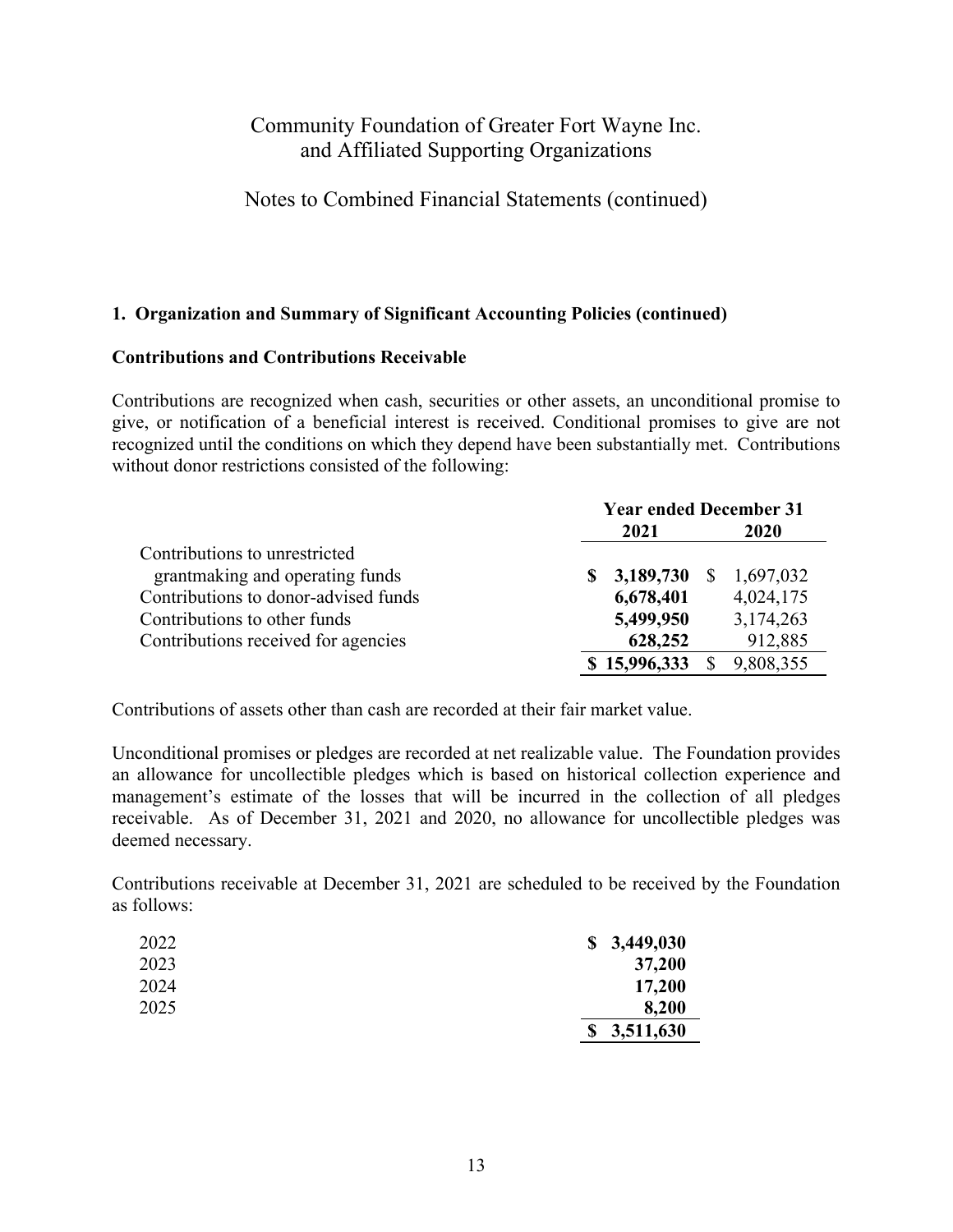Notes to Combined Financial Statements (continued)

### **1. Organization and Summary of Significant Accounting Policies (continued)**

#### **Contributions and Contributions Receivable**

Contributions are recognized when cash, securities or other assets, an unconditional promise to give, or notification of a beneficial interest is received. Conditional promises to give are not recognized until the conditions on which they depend have been substantially met. Contributions without donor restrictions consisted of the following:

|                                      | <b>Year ended December 31</b> |              |              |             |  |
|--------------------------------------|-------------------------------|--------------|--------------|-------------|--|
|                                      |                               | 2021         |              | <b>2020</b> |  |
| Contributions to unrestricted        |                               |              |              |             |  |
| grantmaking and operating funds      | S.                            | 3,189,730    | <sup>S</sup> | 1,697,032   |  |
| Contributions to donor-advised funds |                               | 6,678,401    |              | 4,024,175   |  |
| Contributions to other funds         |                               | 5,499,950    |              | 3,174,263   |  |
| Contributions received for agencies  |                               | 628,252      |              | 912,885     |  |
|                                      |                               | \$15,996,333 |              | 9,808,355   |  |

Contributions of assets other than cash are recorded at their fair market value.

Unconditional promises or pledges are recorded at net realizable value. The Foundation provides an allowance for uncollectible pledges which is based on historical collection experience and management's estimate of the losses that will be incurred in the collection of all pledges receivable. As of December 31, 2021 and 2020, no allowance for uncollectible pledges was deemed necessary.

Contributions receivable at December 31, 2021 are scheduled to be received by the Foundation as follows:

| 2022 | \$3,449,030     |
|------|-----------------|
| 2023 | 37,200          |
| 2024 | 17,200          |
| 2025 | 8,200           |
|      | 3,511,630<br>\$ |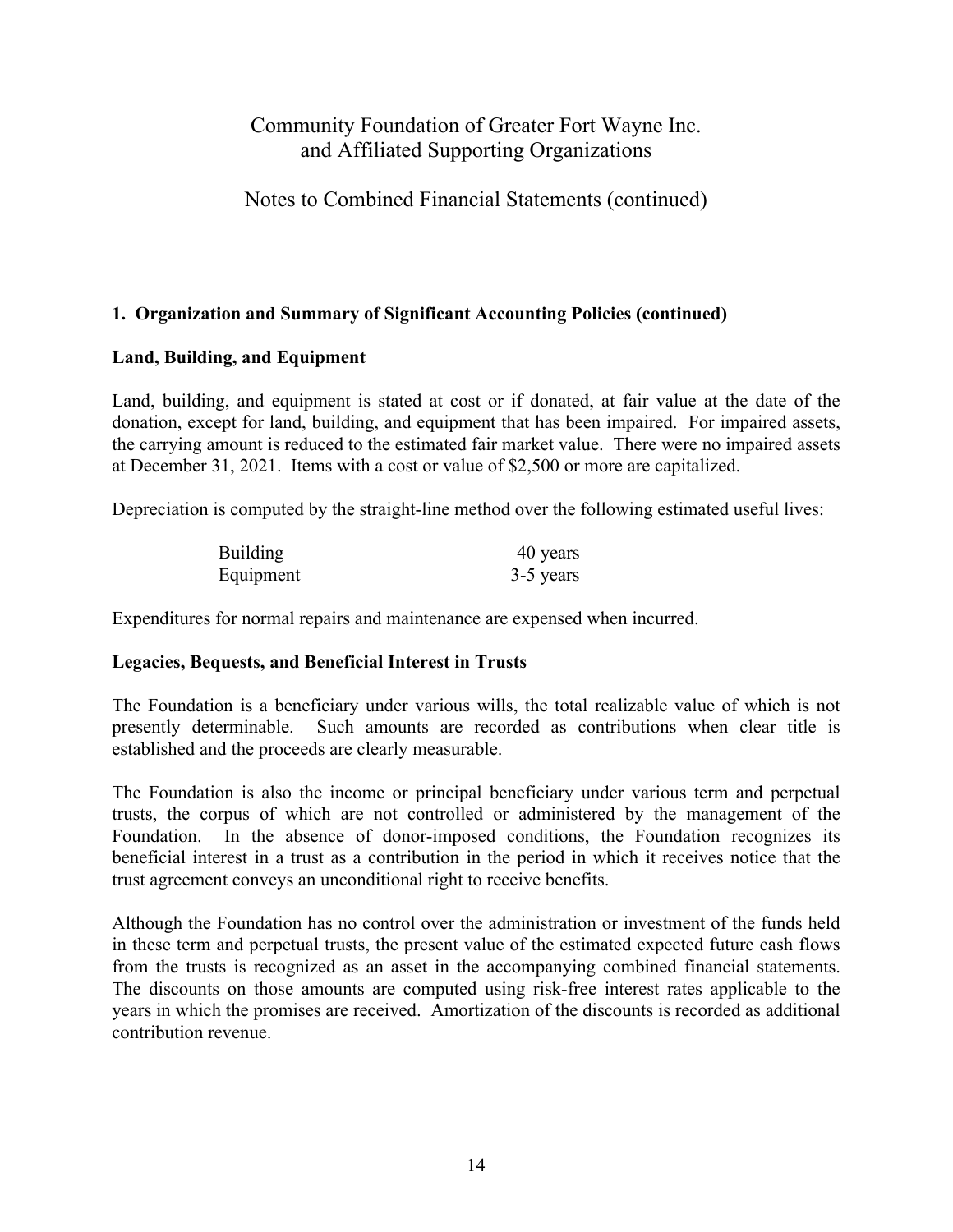## Notes to Combined Financial Statements (continued)

### **1. Organization and Summary of Significant Accounting Policies (continued)**

#### **Land, Building, and Equipment**

Land, building, and equipment is stated at cost or if donated, at fair value at the date of the donation, except for land, building, and equipment that has been impaired. For impaired assets, the carrying amount is reduced to the estimated fair market value. There were no impaired assets at December 31, 2021. Items with a cost or value of \$2,500 or more are capitalized.

Depreciation is computed by the straight-line method over the following estimated useful lives:

| <b>Building</b> | 40 years  |
|-----------------|-----------|
| Equipment       | 3-5 years |

Expenditures for normal repairs and maintenance are expensed when incurred.

### **Legacies, Bequests, and Beneficial Interest in Trusts**

The Foundation is a beneficiary under various wills, the total realizable value of which is not presently determinable. Such amounts are recorded as contributions when clear title is established and the proceeds are clearly measurable.

The Foundation is also the income or principal beneficiary under various term and perpetual trusts, the corpus of which are not controlled or administered by the management of the Foundation. In the absence of donor-imposed conditions, the Foundation recognizes its beneficial interest in a trust as a contribution in the period in which it receives notice that the trust agreement conveys an unconditional right to receive benefits.

Although the Foundation has no control over the administration or investment of the funds held in these term and perpetual trusts, the present value of the estimated expected future cash flows from the trusts is recognized as an asset in the accompanying combined financial statements. The discounts on those amounts are computed using risk-free interest rates applicable to the years in which the promises are received. Amortization of the discounts is recorded as additional contribution revenue.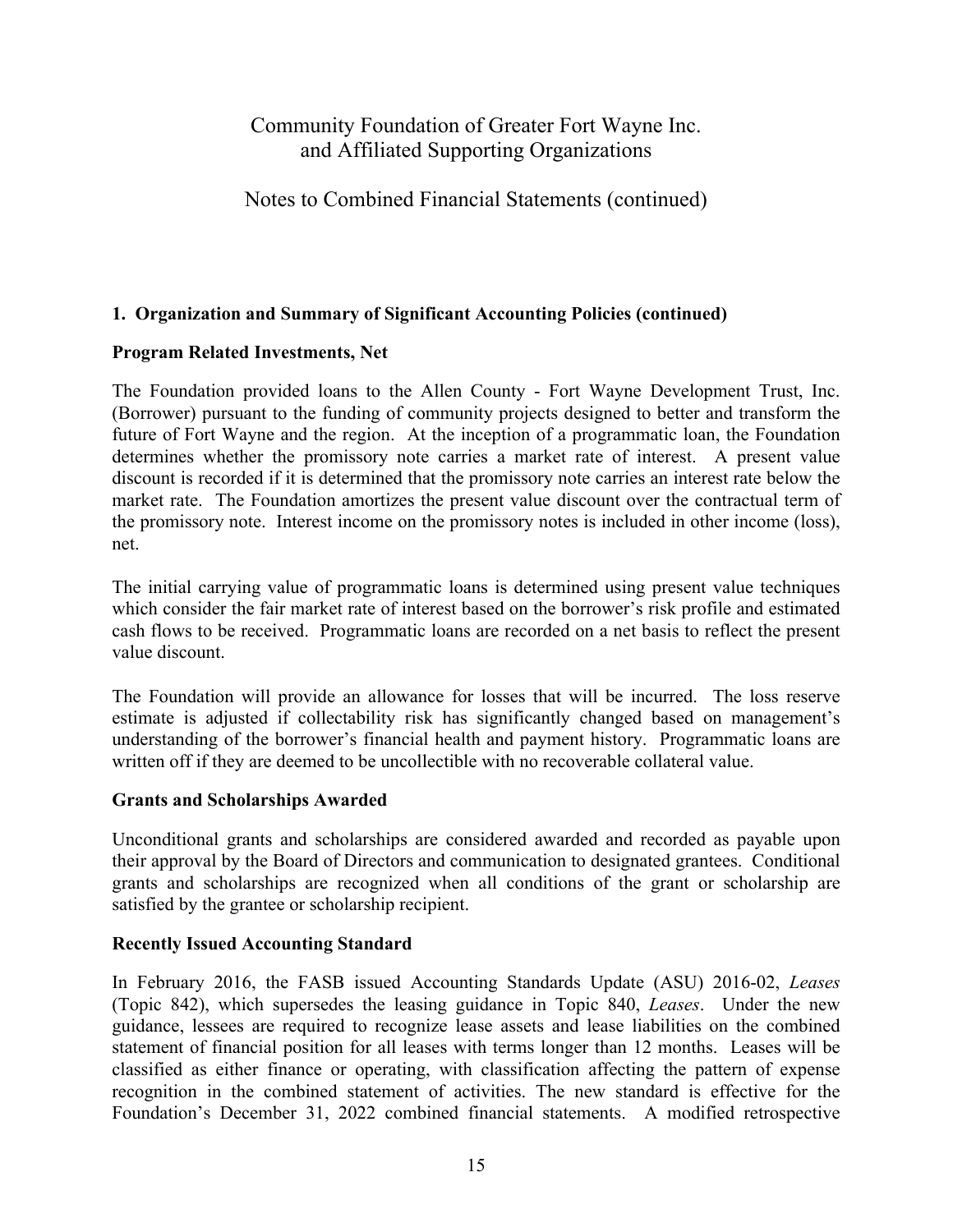## Notes to Combined Financial Statements (continued)

### **1. Organization and Summary of Significant Accounting Policies (continued)**

### **Program Related Investments, Net**

The Foundation provided loans to the Allen County - Fort Wayne Development Trust, Inc. (Borrower) pursuant to the funding of community projects designed to better and transform the future of Fort Wayne and the region. At the inception of a programmatic loan, the Foundation determines whether the promissory note carries a market rate of interest. A present value discount is recorded if it is determined that the promissory note carries an interest rate below the market rate. The Foundation amortizes the present value discount over the contractual term of the promissory note. Interest income on the promissory notes is included in other income (loss), net.

The initial carrying value of programmatic loans is determined using present value techniques which consider the fair market rate of interest based on the borrower's risk profile and estimated cash flows to be received. Programmatic loans are recorded on a net basis to reflect the present value discount.

The Foundation will provide an allowance for losses that will be incurred. The loss reserve estimate is adjusted if collectability risk has significantly changed based on management's understanding of the borrower's financial health and payment history. Programmatic loans are written off if they are deemed to be uncollectible with no recoverable collateral value.

### **Grants and Scholarships Awarded**

Unconditional grants and scholarships are considered awarded and recorded as payable upon their approval by the Board of Directors and communication to designated grantees. Conditional grants and scholarships are recognized when all conditions of the grant or scholarship are satisfied by the grantee or scholarship recipient.

### **Recently Issued Accounting Standard**

In February 2016, the FASB issued Accounting Standards Update (ASU) 2016-02, *Leases* (Topic 842), which supersedes the leasing guidance in Topic 840, *Leases*. Under the new guidance, lessees are required to recognize lease assets and lease liabilities on the combined statement of financial position for all leases with terms longer than 12 months. Leases will be classified as either finance or operating, with classification affecting the pattern of expense recognition in the combined statement of activities. The new standard is effective for the Foundation's December 31, 2022 combined financial statements. A modified retrospective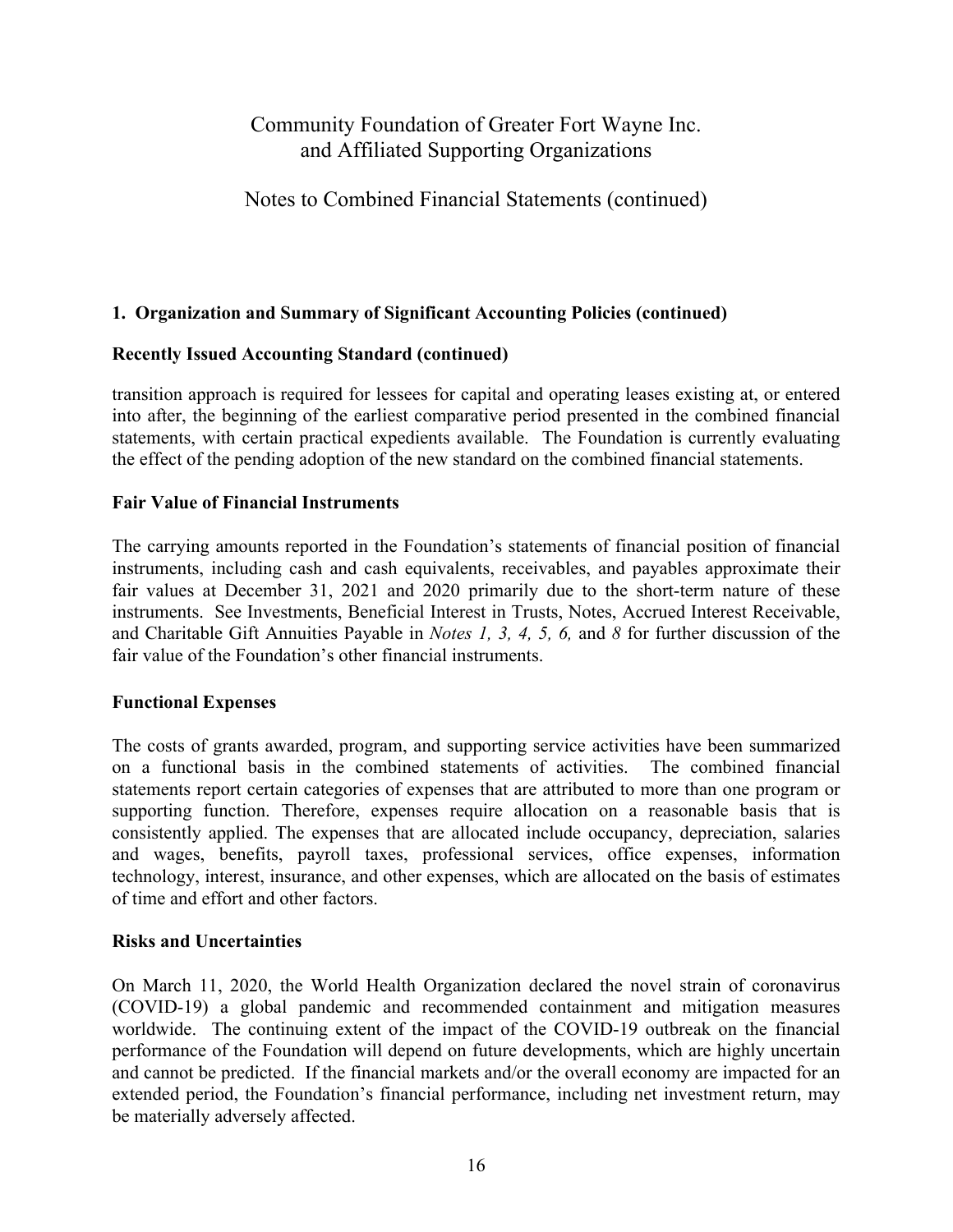## Notes to Combined Financial Statements (continued)

### **1. Organization and Summary of Significant Accounting Policies (continued)**

### **Recently Issued Accounting Standard (continued)**

transition approach is required for lessees for capital and operating leases existing at, or entered into after, the beginning of the earliest comparative period presented in the combined financial statements, with certain practical expedients available. The Foundation is currently evaluating the effect of the pending adoption of the new standard on the combined financial statements.

### **Fair Value of Financial Instruments**

The carrying amounts reported in the Foundation's statements of financial position of financial instruments, including cash and cash equivalents, receivables, and payables approximate their fair values at December 31, 2021 and 2020 primarily due to the short-term nature of these instruments. See Investments, Beneficial Interest in Trusts, Notes, Accrued Interest Receivable, and Charitable Gift Annuities Payable in *Notes 1, 3, 4, 5, 6,* and *8* for further discussion of the fair value of the Foundation's other financial instruments.

### **Functional Expenses**

The costs of grants awarded, program, and supporting service activities have been summarized on a functional basis in the combined statements of activities. The combined financial statements report certain categories of expenses that are attributed to more than one program or supporting function. Therefore, expenses require allocation on a reasonable basis that is consistently applied. The expenses that are allocated include occupancy, depreciation, salaries and wages, benefits, payroll taxes, professional services, office expenses, information technology, interest, insurance, and other expenses, which are allocated on the basis of estimates of time and effort and other factors.

#### **Risks and Uncertainties**

On March 11, 2020, the World Health Organization declared the novel strain of coronavirus (COVID-19) a global pandemic and recommended containment and mitigation measures worldwide. The continuing extent of the impact of the COVID-19 outbreak on the financial performance of the Foundation will depend on future developments, which are highly uncertain and cannot be predicted. If the financial markets and/or the overall economy are impacted for an extended period, the Foundation's financial performance, including net investment return, may be materially adversely affected.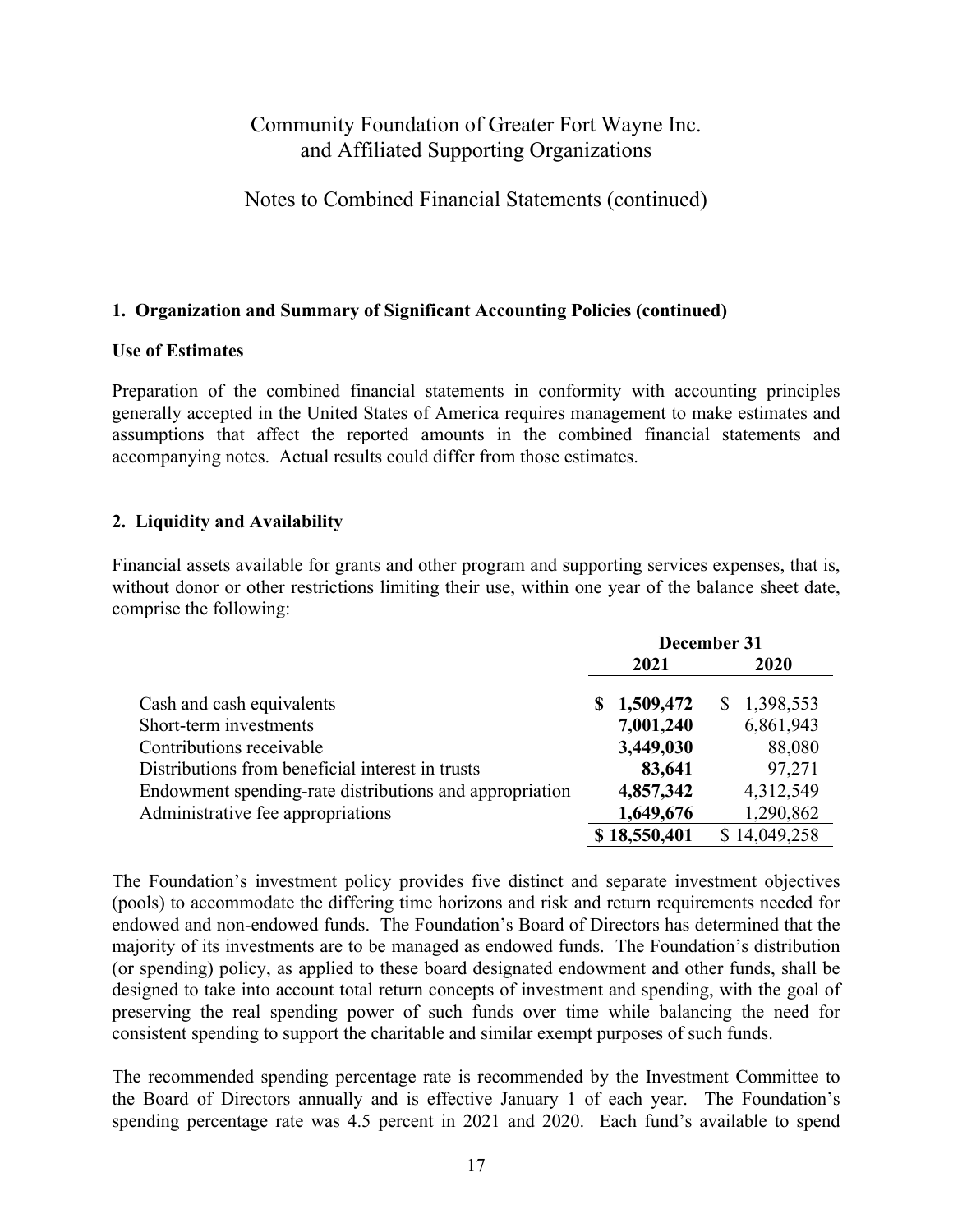### Notes to Combined Financial Statements (continued)

#### **1. Organization and Summary of Significant Accounting Policies (continued)**

#### **Use of Estimates**

Preparation of the combined financial statements in conformity with accounting principles generally accepted in the United States of America requires management to make estimates and assumptions that affect the reported amounts in the combined financial statements and accompanying notes. Actual results could differ from those estimates.

#### **2. Liquidity and Availability**

Financial assets available for grants and other program and supporting services expenses, that is, without donor or other restrictions limiting their use, within one year of the balance sheet date, comprise the following:

|                                                         | December 31 |              |    |              |
|---------------------------------------------------------|-------------|--------------|----|--------------|
|                                                         |             | 2021         |    | 2020         |
| Cash and cash equivalents                               |             | \$1,509,472  | S. | 1,398,553    |
| Short-term investments                                  |             | 7,001,240    |    | 6,861,943    |
| Contributions receivable                                |             | 3,449,030    |    | 88,080       |
| Distributions from beneficial interest in trusts        |             | 83,641       |    | 97,271       |
| Endowment spending-rate distributions and appropriation |             | 4,857,342    |    | 4,312,549    |
| Administrative fee appropriations                       |             | 1,649,676    |    | 1,290,862    |
|                                                         |             | \$18,550,401 |    | \$14,049,258 |

The Foundation's investment policy provides five distinct and separate investment objectives (pools) to accommodate the differing time horizons and risk and return requirements needed for endowed and non-endowed funds. The Foundation's Board of Directors has determined that the majority of its investments are to be managed as endowed funds. The Foundation's distribution (or spending) policy, as applied to these board designated endowment and other funds, shall be designed to take into account total return concepts of investment and spending, with the goal of preserving the real spending power of such funds over time while balancing the need for consistent spending to support the charitable and similar exempt purposes of such funds.

The recommended spending percentage rate is recommended by the Investment Committee to the Board of Directors annually and is effective January 1 of each year. The Foundation's spending percentage rate was 4.5 percent in 2021 and 2020. Each fund's available to spend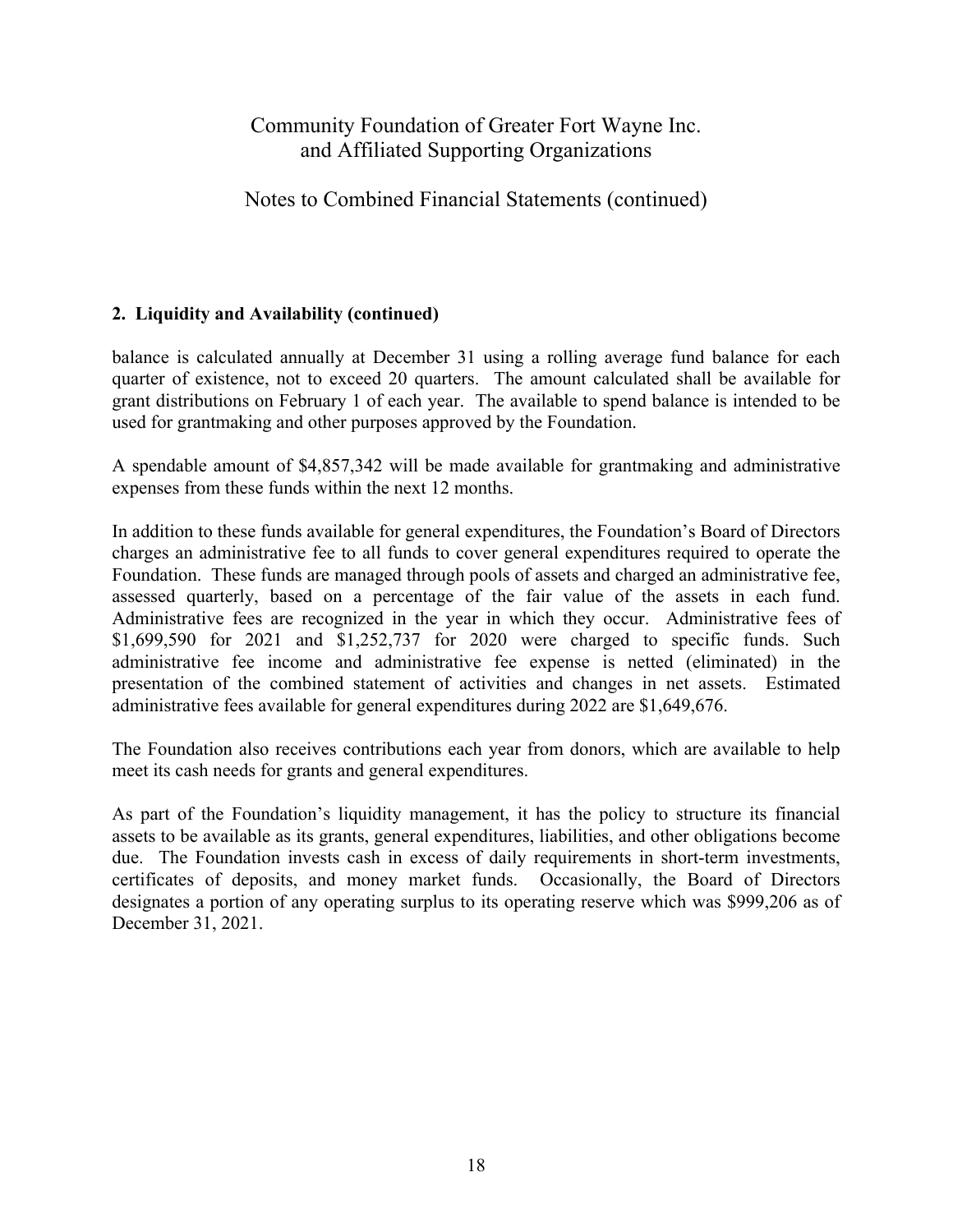## Notes to Combined Financial Statements (continued)

### **2. Liquidity and Availability (continued)**

balance is calculated annually at December 31 using a rolling average fund balance for each quarter of existence, not to exceed 20 quarters. The amount calculated shall be available for grant distributions on February 1 of each year. The available to spend balance is intended to be used for grantmaking and other purposes approved by the Foundation.

A spendable amount of \$4,857,342 will be made available for grantmaking and administrative expenses from these funds within the next 12 months.

In addition to these funds available for general expenditures, the Foundation's Board of Directors charges an administrative fee to all funds to cover general expenditures required to operate the Foundation. These funds are managed through pools of assets and charged an administrative fee, assessed quarterly, based on a percentage of the fair value of the assets in each fund. Administrative fees are recognized in the year in which they occur. Administrative fees of \$1,699,590 for 2021 and \$1,252,737 for 2020 were charged to specific funds. Such administrative fee income and administrative fee expense is netted (eliminated) in the presentation of the combined statement of activities and changes in net assets. Estimated administrative fees available for general expenditures during 2022 are \$1,649,676.

The Foundation also receives contributions each year from donors, which are available to help meet its cash needs for grants and general expenditures.

As part of the Foundation's liquidity management, it has the policy to structure its financial assets to be available as its grants, general expenditures, liabilities, and other obligations become due. The Foundation invests cash in excess of daily requirements in short-term investments, certificates of deposits, and money market funds. Occasionally, the Board of Directors designates a portion of any operating surplus to its operating reserve which was \$999,206 as of December 31, 2021.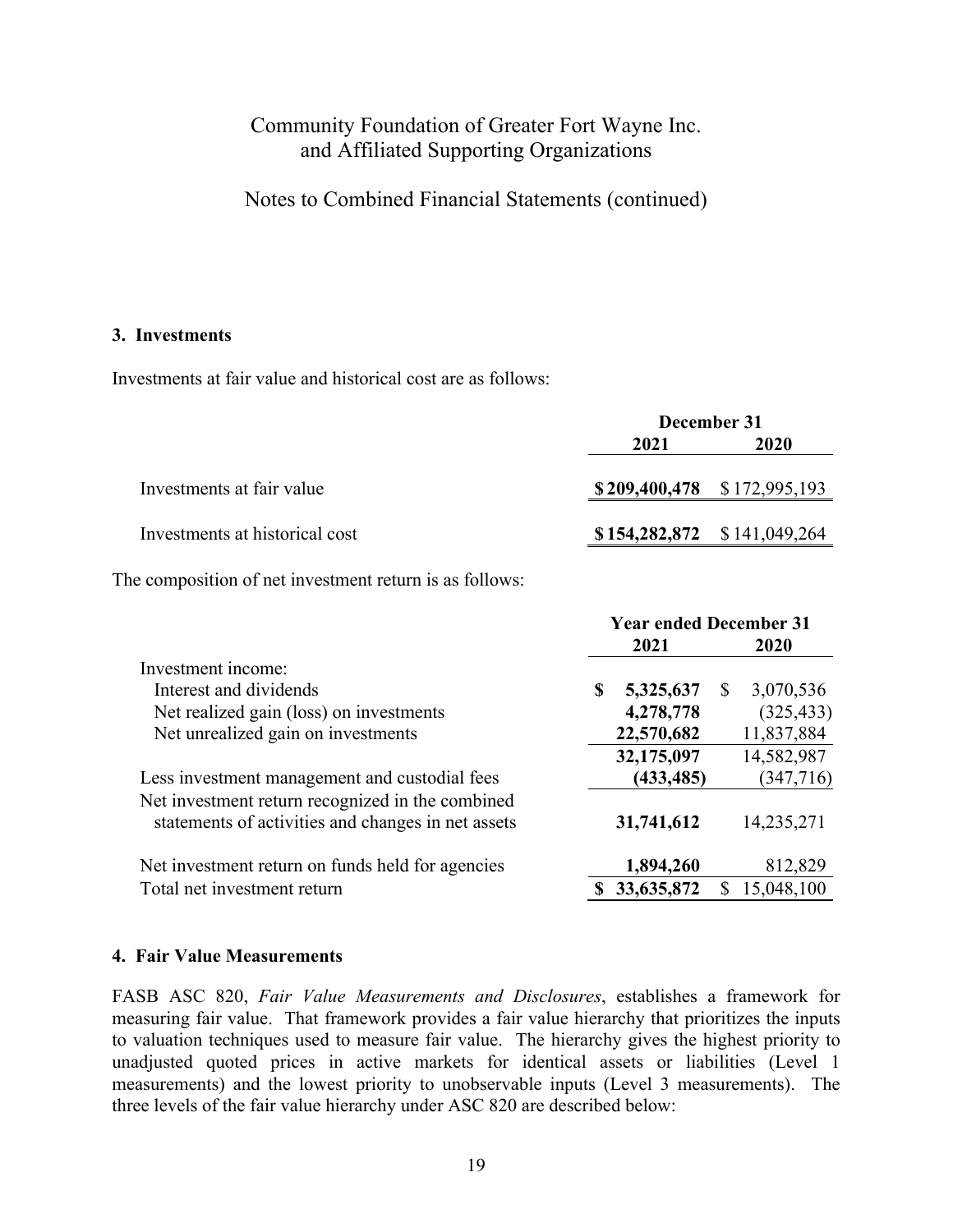Notes to Combined Financial Statements (continued)

#### **3. Investments**

Investments at fair value and historical cost are as follows:

|                                | December 31 |                                   |  |  |
|--------------------------------|-------------|-----------------------------------|--|--|
|                                | 2021        |                                   |  |  |
| Investments at fair value      |             | $$209,400,478$ $$172,995,193$     |  |  |
| Investments at historical cost |             | $$154,282,872 \quad $141,049,264$ |  |  |

The composition of net investment return is as follows:

|                                                                                                        | <b>Year ended December 31</b> |                |  |  |
|--------------------------------------------------------------------------------------------------------|-------------------------------|----------------|--|--|
|                                                                                                        | 2021                          | 2020           |  |  |
| Investment income:                                                                                     |                               |                |  |  |
| Interest and dividends                                                                                 | S<br>5,325,637                | 3,070,536<br>S |  |  |
| Net realized gain (loss) on investments                                                                | 4,278,778                     | (325, 433)     |  |  |
| Net unrealized gain on investments                                                                     | 22,570,682                    | 11,837,884     |  |  |
|                                                                                                        | 32,175,097                    | 14,582,987     |  |  |
| Less investment management and custodial fees                                                          | (433, 485)                    | (347, 716)     |  |  |
| Net investment return recognized in the combined<br>statements of activities and changes in net assets | 31,741,612                    | 14,235,271     |  |  |
| Net investment return on funds held for agencies                                                       | 1,894,260                     | 812,829        |  |  |
| Total net investment return                                                                            | 33,635,872                    | 15,048,100     |  |  |

#### **4. Fair Value Measurements**

FASB ASC 820, *Fair Value Measurements and Disclosures*, establishes a framework for measuring fair value. That framework provides a fair value hierarchy that prioritizes the inputs to valuation techniques used to measure fair value. The hierarchy gives the highest priority to unadjusted quoted prices in active markets for identical assets or liabilities (Level 1 measurements) and the lowest priority to unobservable inputs (Level 3 measurements). The three levels of the fair value hierarchy under ASC 820 are described below: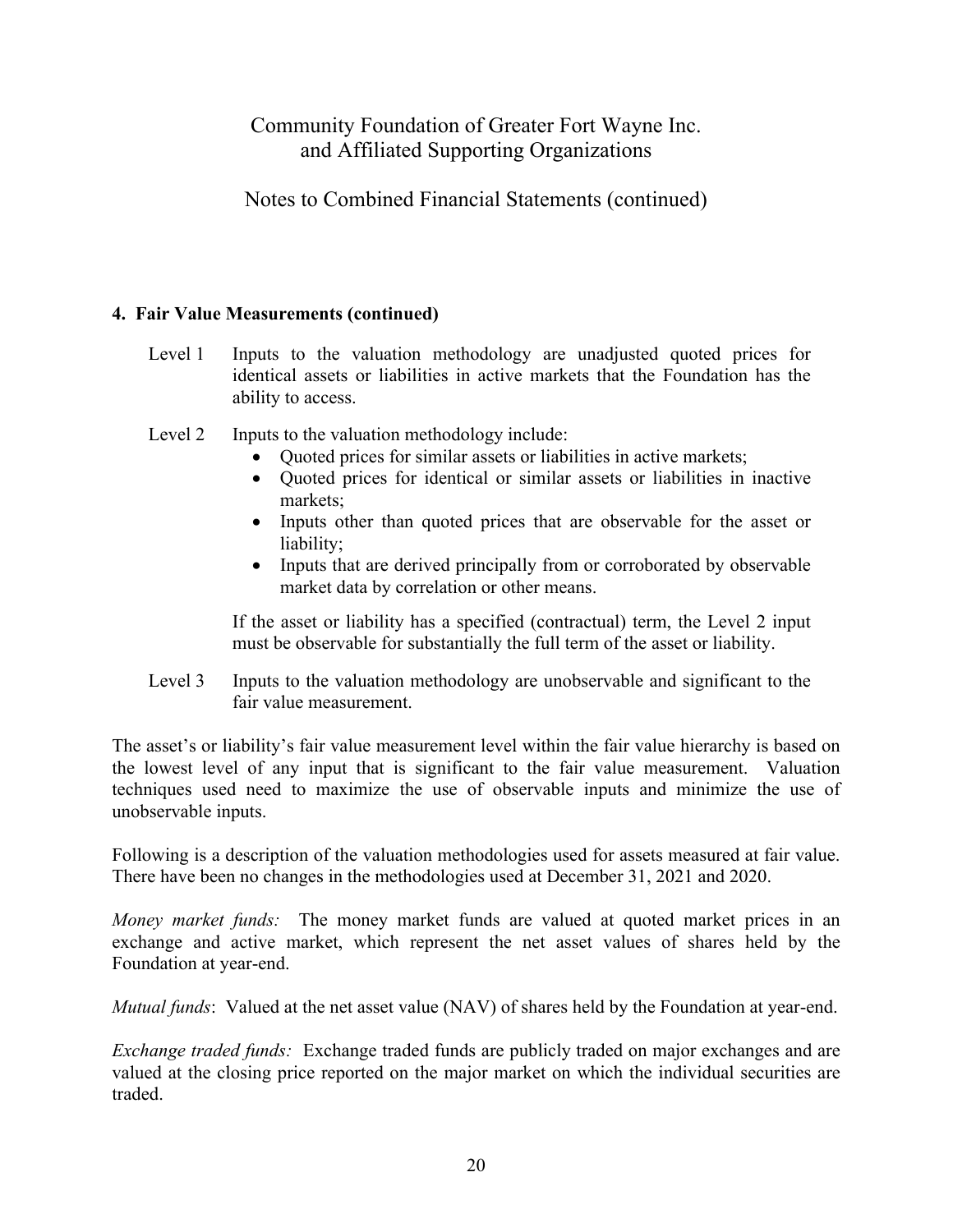## Notes to Combined Financial Statements (continued)

### **4. Fair Value Measurements (continued)**

- Level 1 Inputs to the valuation methodology are unadjusted quoted prices for identical assets or liabilities in active markets that the Foundation has the ability to access.
- Level 2 Inputs to the valuation methodology include:
	- Quoted prices for similar assets or liabilities in active markets;
	- Quoted prices for identical or similar assets or liabilities in inactive markets;
	- Inputs other than quoted prices that are observable for the asset or liability;
	- Inputs that are derived principally from or corroborated by observable market data by correlation or other means.

If the asset or liability has a specified (contractual) term, the Level 2 input must be observable for substantially the full term of the asset or liability.

Level 3 Inputs to the valuation methodology are unobservable and significant to the fair value measurement.

The asset's or liability's fair value measurement level within the fair value hierarchy is based on the lowest level of any input that is significant to the fair value measurement. Valuation techniques used need to maximize the use of observable inputs and minimize the use of unobservable inputs.

Following is a description of the valuation methodologies used for assets measured at fair value. There have been no changes in the methodologies used at December 31, 2021 and 2020.

*Money market funds:* The money market funds are valued at quoted market prices in an exchange and active market, which represent the net asset values of shares held by the Foundation at year-end.

*Mutual funds*: Valued at the net asset value (NAV) of shares held by the Foundation at year-end.

*Exchange traded funds:* Exchange traded funds are publicly traded on major exchanges and are valued at the closing price reported on the major market on which the individual securities are traded.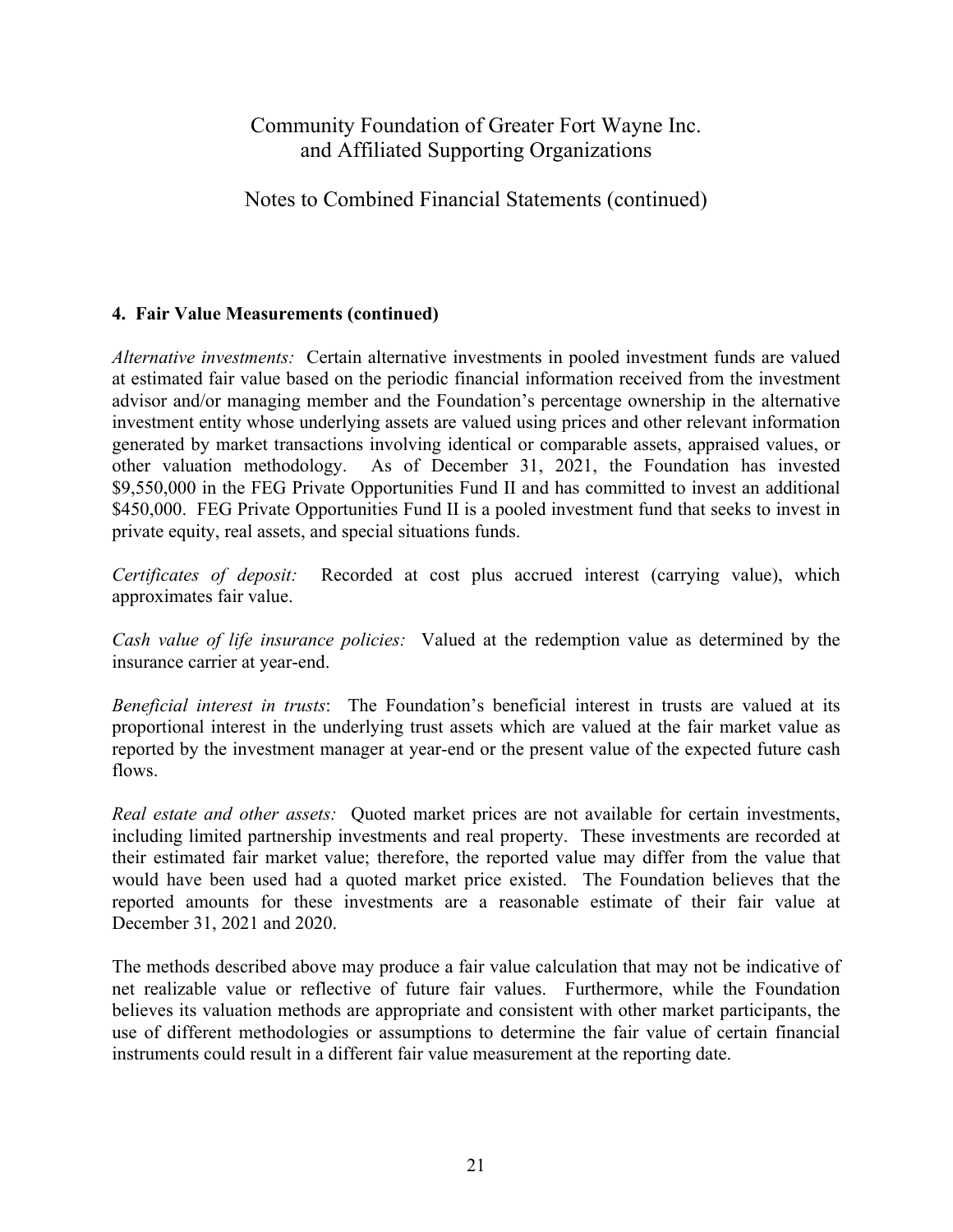Notes to Combined Financial Statements (continued)

## **4. Fair Value Measurements (continued)**

*Alternative investments:* Certain alternative investments in pooled investment funds are valued at estimated fair value based on the periodic financial information received from the investment advisor and/or managing member and the Foundation's percentage ownership in the alternative investment entity whose underlying assets are valued using prices and other relevant information generated by market transactions involving identical or comparable assets, appraised values, or other valuation methodology. As of December 31, 2021, the Foundation has invested \$9,550,000 in the FEG Private Opportunities Fund II and has committed to invest an additional \$450,000. FEG Private Opportunities Fund II is a pooled investment fund that seeks to invest in private equity, real assets, and special situations funds.

*Certificates of deposit:* Recorded at cost plus accrued interest (carrying value), which approximates fair value.

*Cash value of life insurance policies:* Valued at the redemption value as determined by the insurance carrier at year-end.

*Beneficial interest in trusts*: The Foundation's beneficial interest in trusts are valued at its proportional interest in the underlying trust assets which are valued at the fair market value as reported by the investment manager at year-end or the present value of the expected future cash flows.

*Real estate and other assets:* Quoted market prices are not available for certain investments, including limited partnership investments and real property. These investments are recorded at their estimated fair market value; therefore, the reported value may differ from the value that would have been used had a quoted market price existed. The Foundation believes that the reported amounts for these investments are a reasonable estimate of their fair value at December 31, 2021 and 2020.

The methods described above may produce a fair value calculation that may not be indicative of net realizable value or reflective of future fair values. Furthermore, while the Foundation believes its valuation methods are appropriate and consistent with other market participants, the use of different methodologies or assumptions to determine the fair value of certain financial instruments could result in a different fair value measurement at the reporting date.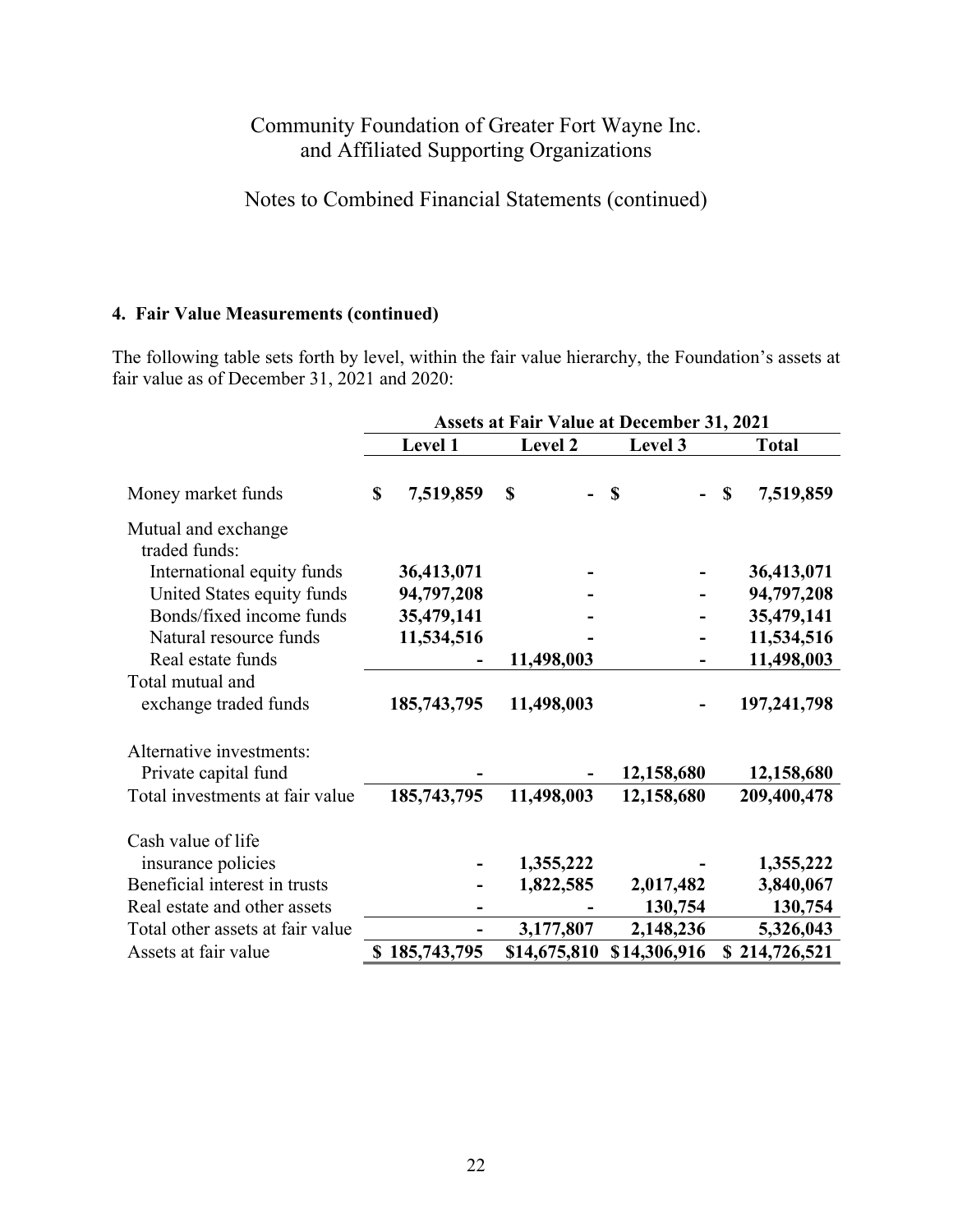Notes to Combined Financial Statements (continued)

#### **4. Fair Value Measurements (continued)**

The following table sets forth by level, within the fair value hierarchy, the Foundation's assets at fair value as of December 31, 2021 and 2020:

|                                                  | <b>Assets at Fair Value at December 31, 2021</b> |             |                |              |                 |
|--------------------------------------------------|--------------------------------------------------|-------------|----------------|--------------|-----------------|
|                                                  |                                                  | Level 1     | <b>Level 2</b> | Level 3      | <b>Total</b>    |
| Money market funds                               | \$                                               | 7,519,859   | <b>S</b>       | <b>S</b>     | 7,519,859<br>\$ |
| Mutual and exchange<br>traded funds:             |                                                  |             |                |              |                 |
| International equity funds                       |                                                  | 36,413,071  |                |              | 36,413,071      |
| United States equity funds                       |                                                  | 94,797,208  |                |              | 94,797,208      |
| Bonds/fixed income funds                         |                                                  | 35,479,141  |                |              | 35,479,141      |
| Natural resource funds                           |                                                  | 11,534,516  |                |              | 11,534,516      |
| Real estate funds                                |                                                  |             | 11,498,003     |              | 11,498,003      |
| Total mutual and<br>exchange traded funds        |                                                  | 185,743,795 | 11,498,003     |              | 197,241,798     |
| Alternative investments:<br>Private capital fund |                                                  |             |                | 12,158,680   | 12,158,680      |
| Total investments at fair value                  |                                                  | 185,743,795 | 11,498,003     | 12,158,680   | 209,400,478     |
| Cash value of life                               |                                                  |             |                |              |                 |
| insurance policies                               |                                                  |             | 1,355,222      |              | 1,355,222       |
| Beneficial interest in trusts                    |                                                  |             | 1,822,585      | 2,017,482    | 3,840,067       |
| Real estate and other assets                     |                                                  |             |                | 130,754      | 130,754         |
| Total other assets at fair value                 |                                                  |             | 3,177,807      | 2,148,236    | 5,326,043       |
| Assets at fair value                             | \$                                               | 185,743,795 | \$14,675,810   | \$14,306,916 | \$214,726,521   |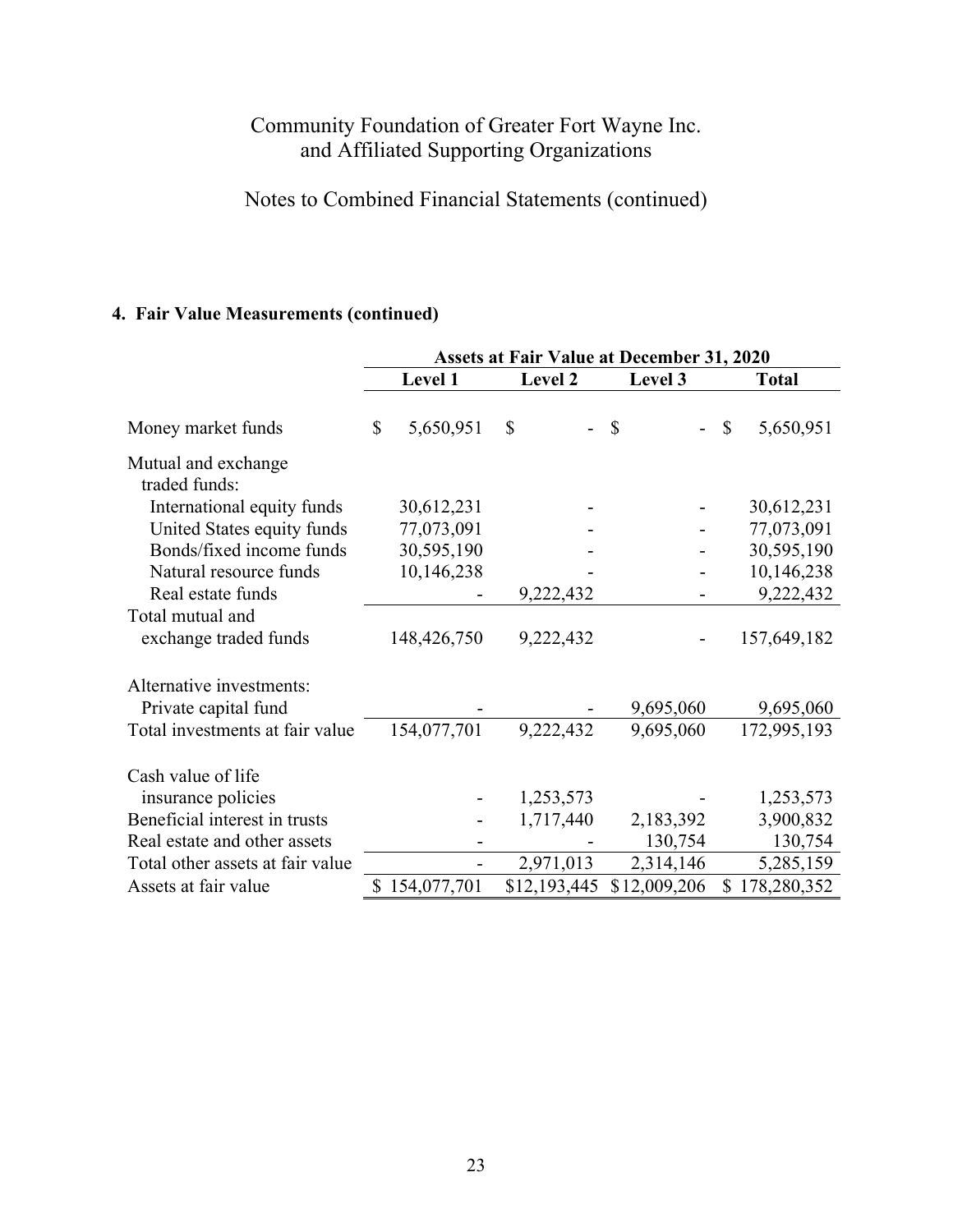# Notes to Combined Financial Statements (continued)

# **4. Fair Value Measurements (continued)**

|                                      | <b>Assets at Fair Value at December 31, 2020</b> |              |              |                 |
|--------------------------------------|--------------------------------------------------|--------------|--------------|-----------------|
|                                      | Level 1                                          | Level 2      | Level 3      | <b>Total</b>    |
| Money market funds                   | $\mathcal{S}$<br>5,650,951                       | $\mathbb{S}$ | \$           | 5,650,951<br>\$ |
| Mutual and exchange<br>traded funds: |                                                  |              |              |                 |
| International equity funds           | 30,612,231                                       |              |              | 30,612,231      |
| United States equity funds           | 77,073,091                                       |              |              | 77,073,091      |
| Bonds/fixed income funds             | 30,595,190                                       |              |              | 30,595,190      |
| Natural resource funds               | 10,146,238                                       |              |              | 10,146,238      |
| Real estate funds                    |                                                  | 9,222,432    |              | 9,222,432       |
| Total mutual and                     |                                                  |              |              |                 |
| exchange traded funds                | 148,426,750                                      | 9,222,432    |              | 157,649,182     |
| Alternative investments:             |                                                  |              |              |                 |
| Private capital fund                 |                                                  |              | 9,695,060    | 9,695,060       |
| Total investments at fair value      | 154,077,701                                      | 9,222,432    | 9,695,060    | 172,995,193     |
| Cash value of life                   |                                                  |              |              |                 |
| insurance policies                   |                                                  | 1,253,573    |              | 1,253,573       |
| Beneficial interest in trusts        |                                                  | 1,717,440    | 2,183,392    | 3,900,832       |
| Real estate and other assets         |                                                  |              | 130,754      | 130,754         |
| Total other assets at fair value     |                                                  | 2,971,013    | 2,314,146    | 5,285,159       |
| Assets at fair value                 | \$154,077,701                                    | \$12,193,445 | \$12,009,206 | 178,280,352     |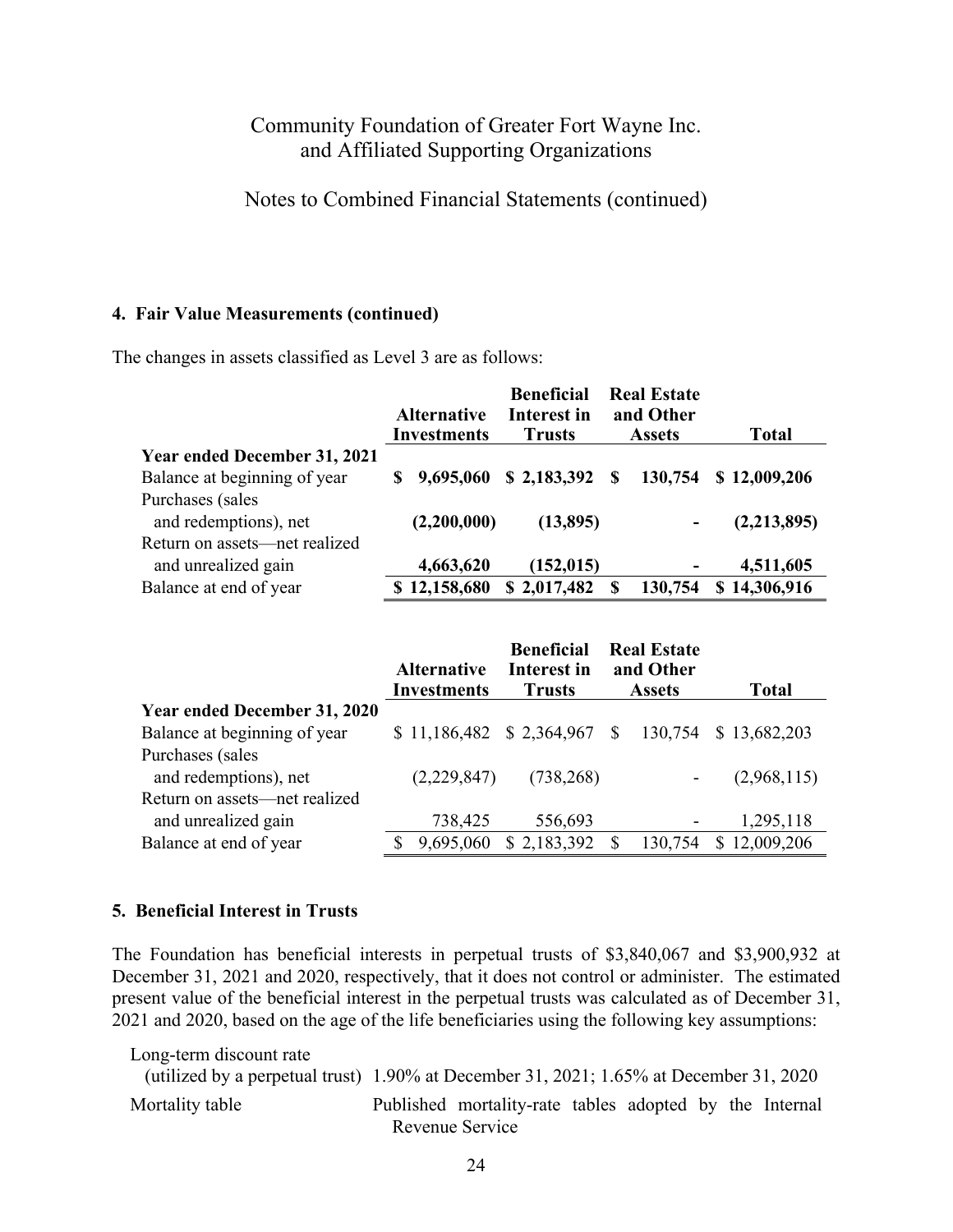Notes to Combined Financial Statements (continued)

#### **4. Fair Value Measurements (continued)**

The changes in assets classified as Level 3 are as follows:

|                                     | <b>Alternative</b><br><b>Investments</b> | <b>Beneficial</b><br><b>Interest in</b><br><b>Trusts</b> | <b>Real Estate</b><br>and Other<br><b>Assets</b> | <b>Total</b> |
|-------------------------------------|------------------------------------------|----------------------------------------------------------|--------------------------------------------------|--------------|
| <b>Year ended December 31, 2021</b> |                                          |                                                          |                                                  |              |
| Balance at beginning of year        | 9,695,060                                | \$2,183,392                                              | 130,754<br>S                                     | \$12,009,206 |
| Purchases (sales                    |                                          |                                                          |                                                  |              |
| and redemptions), net               | (2,200,000)                              | (13,895)                                                 | $\overline{a}$                                   | (2,213,895)  |
| Return on assets—net realized       |                                          |                                                          |                                                  |              |
| and unrealized gain                 | 4,663,620                                | (152, 015)                                               | -                                                | 4,511,605    |
| Balance at end of year              | \$12,158,680                             | \$2,017,482                                              | 130,754<br>S                                     | \$14,306,916 |

|                                     | <b>Alternative</b>                     | <b>Beneficial</b><br>Interest in | <b>Real Estate</b><br>and Other |                       |
|-------------------------------------|----------------------------------------|----------------------------------|---------------------------------|-----------------------|
|                                     | <b>Investments</b>                     | <b>Trusts</b>                    | <b>Assets</b>                   | <b>Total</b>          |
| <b>Year ended December 31, 2020</b> |                                        |                                  |                                 |                       |
| Balance at beginning of year        | $$11,186,482 \quad $2,364,967 \quad $$ |                                  |                                 | 130,754 \$ 13,682,203 |
| Purchases (sales                    |                                        |                                  |                                 |                       |
| and redemptions), net               | (2,229,847)                            | (738, 268)                       |                                 | (2,968,115)           |
| Return on assets—net realized       |                                        |                                  |                                 |                       |
| and unrealized gain                 | 738,425                                | 556,693                          | $\qquad \qquad \blacksquare$    | 1,295,118             |
| Balance at end of year              | 9,695,060                              | \$2,183,392                      | S<br>130,754                    | \$12,009,206          |

### **5. Beneficial Interest in Trusts**

The Foundation has beneficial interests in perpetual trusts of \$3,840,067 and \$3,900,932 at December 31, 2021 and 2020, respectively, that it does not control or administer. The estimated present value of the beneficial interest in the perpetual trusts was calculated as of December 31, 2021 and 2020, based on the age of the life beneficiaries using the following key assumptions:

Long-term discount rate (utilized by a perpetual trust) 1.90% at December 31, 2021; 1.65% at December 31, 2020 Mortality table Published mortality-rate tables adopted by the Internal Revenue Service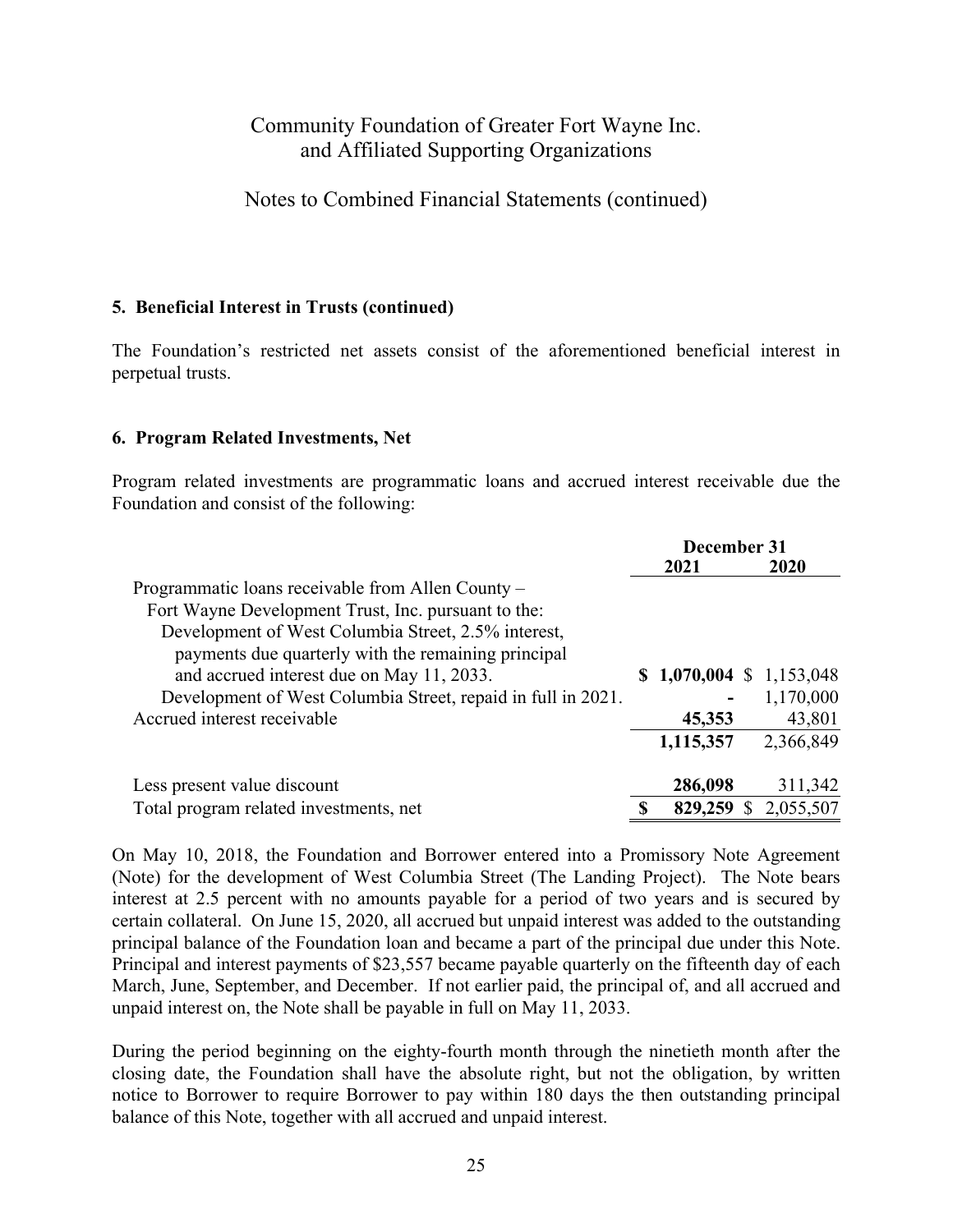Notes to Combined Financial Statements (continued)

### **5. Beneficial Interest in Trusts (continued)**

The Foundation's restricted net assets consist of the aforementioned beneficial interest in perpetual trusts.

#### **6. Program Related Investments, Net**

Program related investments are programmatic loans and accrued interest receivable due the Foundation and consist of the following:

|                                                              | December 31 |                          |  |             |
|--------------------------------------------------------------|-------------|--------------------------|--|-------------|
|                                                              |             | 2021                     |  | 2020        |
| Programmatic loans receivable from Allen County –            |             |                          |  |             |
| Fort Wayne Development Trust, Inc. pursuant to the:          |             |                          |  |             |
| Development of West Columbia Street, 2.5% interest,          |             |                          |  |             |
| payments due quarterly with the remaining principal          |             |                          |  |             |
| and accrued interest due on May 11, 2033.                    |             | $$1,070,004 \$1,153,048$ |  |             |
| Development of West Columbia Street, repaid in full in 2021. |             |                          |  | 1,170,000   |
| Accrued interest receivable                                  |             | 45,353                   |  | 43,801      |
|                                                              |             | 1,115,357                |  | 2,366,849   |
| Less present value discount                                  |             | 286,098                  |  | 311,342     |
| Total program related investments, net                       | S           | 829,259                  |  | \$2,055,507 |

On May 10, 2018, the Foundation and Borrower entered into a Promissory Note Agreement (Note) for the development of West Columbia Street (The Landing Project). The Note bears interest at 2.5 percent with no amounts payable for a period of two years and is secured by certain collateral. On June 15, 2020, all accrued but unpaid interest was added to the outstanding principal balance of the Foundation loan and became a part of the principal due under this Note. Principal and interest payments of \$23,557 became payable quarterly on the fifteenth day of each March, June, September, and December. If not earlier paid, the principal of, and all accrued and unpaid interest on, the Note shall be payable in full on May 11, 2033.

During the period beginning on the eighty-fourth month through the ninetieth month after the closing date, the Foundation shall have the absolute right, but not the obligation, by written notice to Borrower to require Borrower to pay within 180 days the then outstanding principal balance of this Note, together with all accrued and unpaid interest.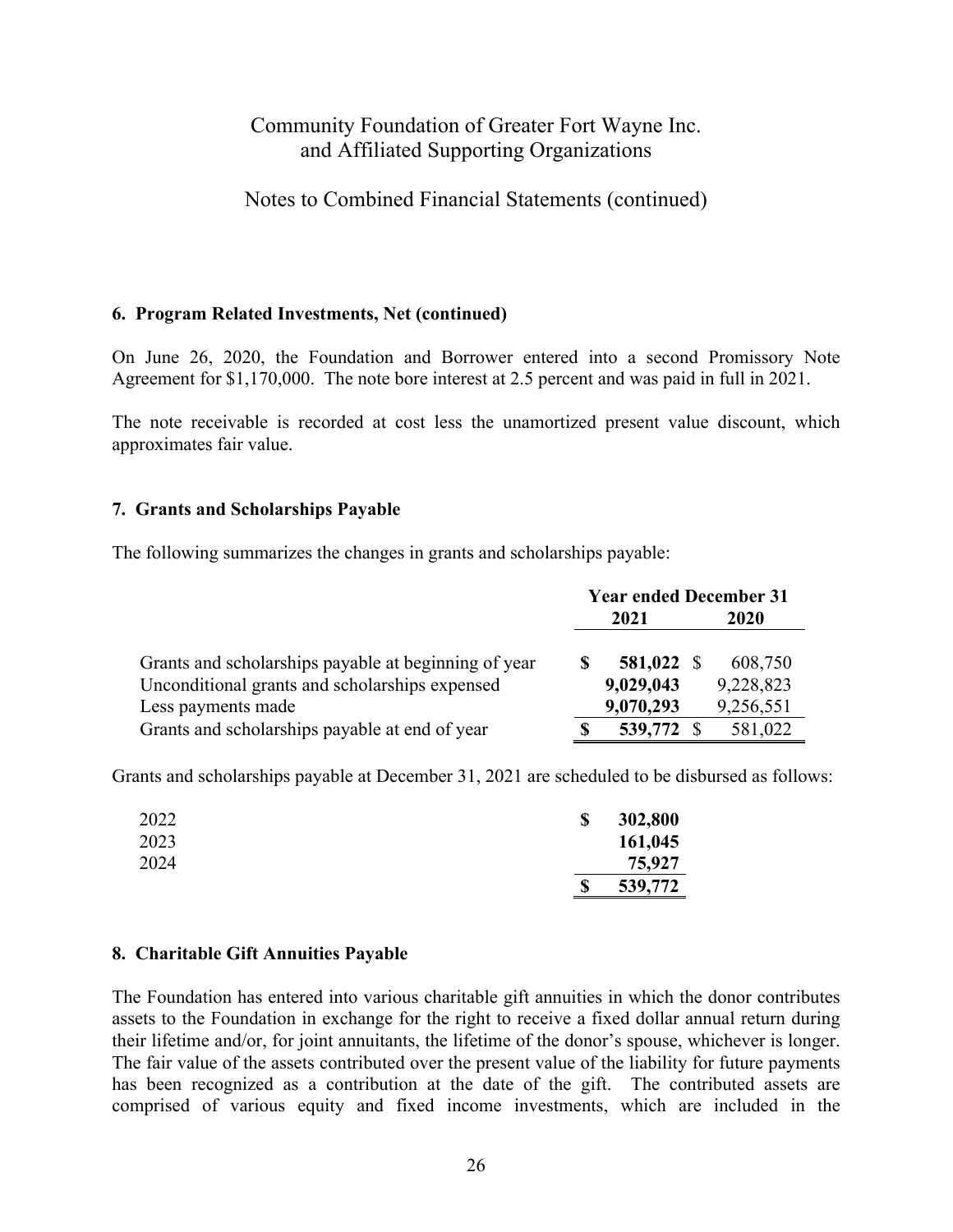Notes to Combined Financial Statements (continued)

#### **6. Program Related Investments, Net (continued)**

On June 26, 2020, the Foundation and Borrower entered into a second Promissory Note Agreement for \$1,170,000. The note bore interest at 2.5 percent and was paid in full in 2021.

The note receivable is recorded at cost less the unamortized present value discount, which approximates fair value.

#### **7. Grants and Scholarships Payable**

The following summarizes the changes in grants and scholarships payable:

|                                                      | <b>Year ended December 31</b> |            |  |           |  |
|------------------------------------------------------|-------------------------------|------------|--|-----------|--|
|                                                      |                               | 2021       |  | 2020      |  |
| Grants and scholarships payable at beginning of year |                               | 581,022 \$ |  | 608,750   |  |
| Unconditional grants and scholarships expensed       |                               | 9,029,043  |  | 9,228,823 |  |
| Less payments made                                   |                               | 9,070,293  |  | 9,256,551 |  |
| Grants and scholarships payable at end of year       |                               | 539,772 \$ |  | 581,022   |  |

Grants and scholarships payable at December 31, 2021 are scheduled to be disbursed as follows:

| 2022 | <b>S</b> | 302,800 |
|------|----------|---------|
| 2023 |          | 161,045 |
| 2024 |          | 75,927  |
|      | \$       | 539,772 |

#### **8. Charitable Gift Annuities Payable**

The Foundation has entered into various charitable gift annuities in which the donor contributes assets to the Foundation in exchange for the right to receive a fixed dollar annual return during their lifetime and/or, for joint annuitants, the lifetime of the donor's spouse, whichever is longer. The fair value of the assets contributed over the present value of the liability for future payments has been recognized as a contribution at the date of the gift. The contributed assets are comprised of various equity and fixed income investments, which are included in the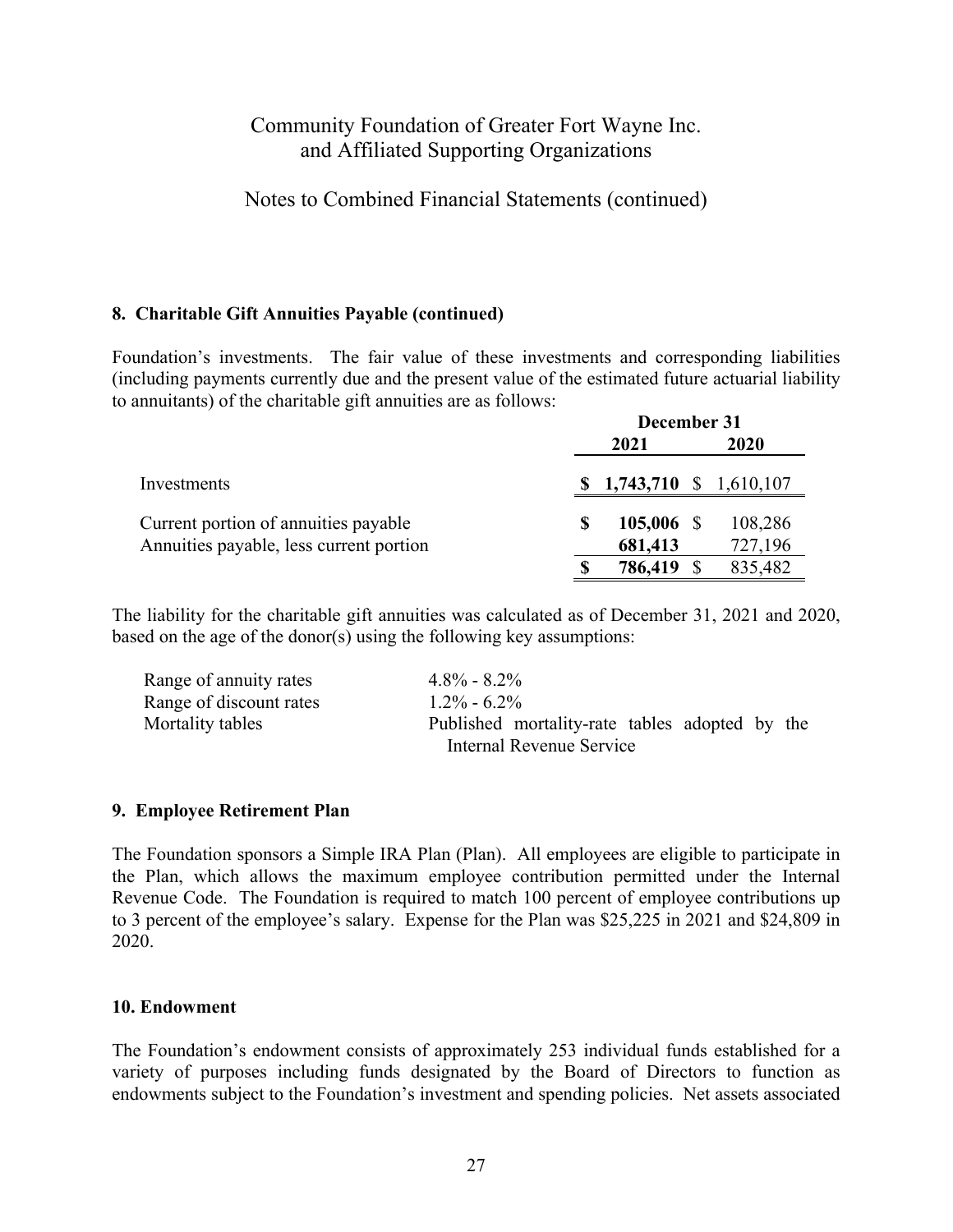Notes to Combined Financial Statements (continued)

### **8. Charitable Gift Annuities Payable (continued)**

Foundation's investments. The fair value of these investments and corresponding liabilities (including payments currently due and the present value of the estimated future actuarial liability to annuitants) of the charitable gift annuities are as follows:

|                                                                                 | December 31 |                          |  |                    |
|---------------------------------------------------------------------------------|-------------|--------------------------|--|--------------------|
|                                                                                 |             | 2021                     |  | 2020               |
| Investments                                                                     |             | $$1,743,710 \$1,610,107$ |  |                    |
| Current portion of annuities payable<br>Annuities payable, less current portion | \$          | $105,006$ \$<br>681,413  |  | 108,286<br>727,196 |
|                                                                                 |             | 786,419                  |  | 835,482            |

The liability for the charitable gift annuities was calculated as of December 31, 2021 and 2020, based on the age of the donor(s) using the following key assumptions:

| Range of annuity rates  | $4.8\% - 8.2\%$                                |
|-------------------------|------------------------------------------------|
| Range of discount rates | $1.2\% - 6.2\%$                                |
| Mortality tables        | Published mortality-rate tables adopted by the |
|                         | Internal Revenue Service                       |

#### **9. Employee Retirement Plan**

The Foundation sponsors a Simple IRA Plan (Plan). All employees are eligible to participate in the Plan, which allows the maximum employee contribution permitted under the Internal Revenue Code. The Foundation is required to match 100 percent of employee contributions up to 3 percent of the employee's salary. Expense for the Plan was \$25,225 in 2021 and \$24,809 in 2020.

#### **10. Endowment**

The Foundation's endowment consists of approximately 253 individual funds established for a variety of purposes including funds designated by the Board of Directors to function as endowments subject to the Foundation's investment and spending policies. Net assets associated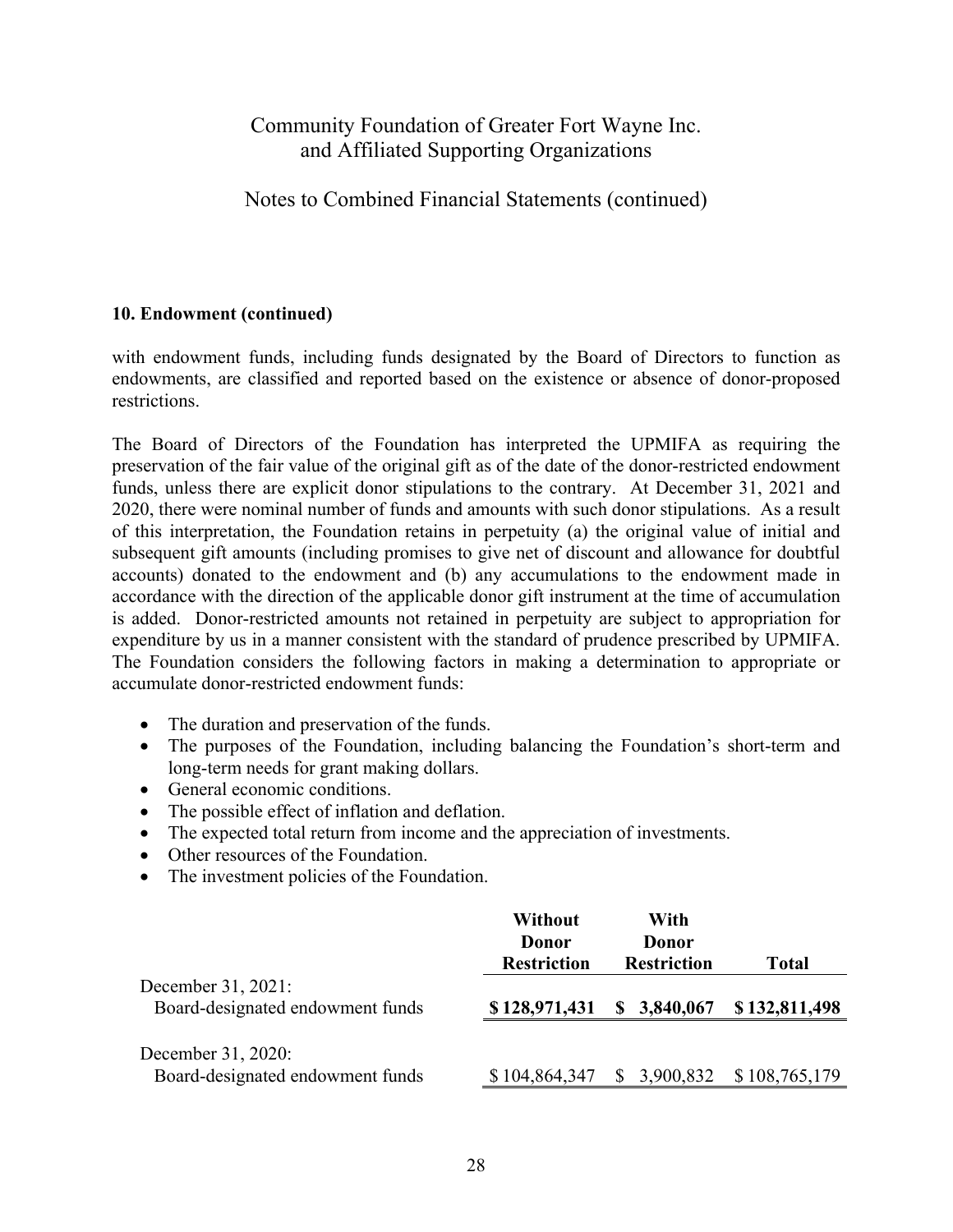### Notes to Combined Financial Statements (continued)

#### **10. Endowment (continued)**

with endowment funds, including funds designated by the Board of Directors to function as endowments, are classified and reported based on the existence or absence of donor-proposed restrictions.

The Board of Directors of the Foundation has interpreted the UPMIFA as requiring the preservation of the fair value of the original gift as of the date of the donor-restricted endowment funds, unless there are explicit donor stipulations to the contrary. At December 31, 2021 and 2020, there were nominal number of funds and amounts with such donor stipulations. As a result of this interpretation, the Foundation retains in perpetuity (a) the original value of initial and subsequent gift amounts (including promises to give net of discount and allowance for doubtful accounts) donated to the endowment and (b) any accumulations to the endowment made in accordance with the direction of the applicable donor gift instrument at the time of accumulation is added. Donor-restricted amounts not retained in perpetuity are subject to appropriation for expenditure by us in a manner consistent with the standard of prudence prescribed by UPMIFA. The Foundation considers the following factors in making a determination to appropriate or accumulate donor-restricted endowment funds:

- The duration and preservation of the funds.
- The purposes of the Foundation, including balancing the Foundation's short-term and long-term needs for grant making dollars.
- General economic conditions.
- The possible effect of inflation and deflation.
- The expected total return from income and the appreciation of investments.
- Other resources of the Foundation.
- The investment policies of the Foundation.

|                                                        | Without<br>Donor<br><b>Restriction</b> | With<br>Donor<br><b>Restriction</b> | <b>Total</b>  |
|--------------------------------------------------------|----------------------------------------|-------------------------------------|---------------|
| December 31, 2021:<br>Board-designated endowment funds | \$128,971,431                          | 3,840,067<br>S                      | \$132,811,498 |
| December 31, 2020:<br>Board-designated endowment funds | \$104,864,347                          | 3,900,832<br>$\mathbb{S}^-$         | \$108,765,179 |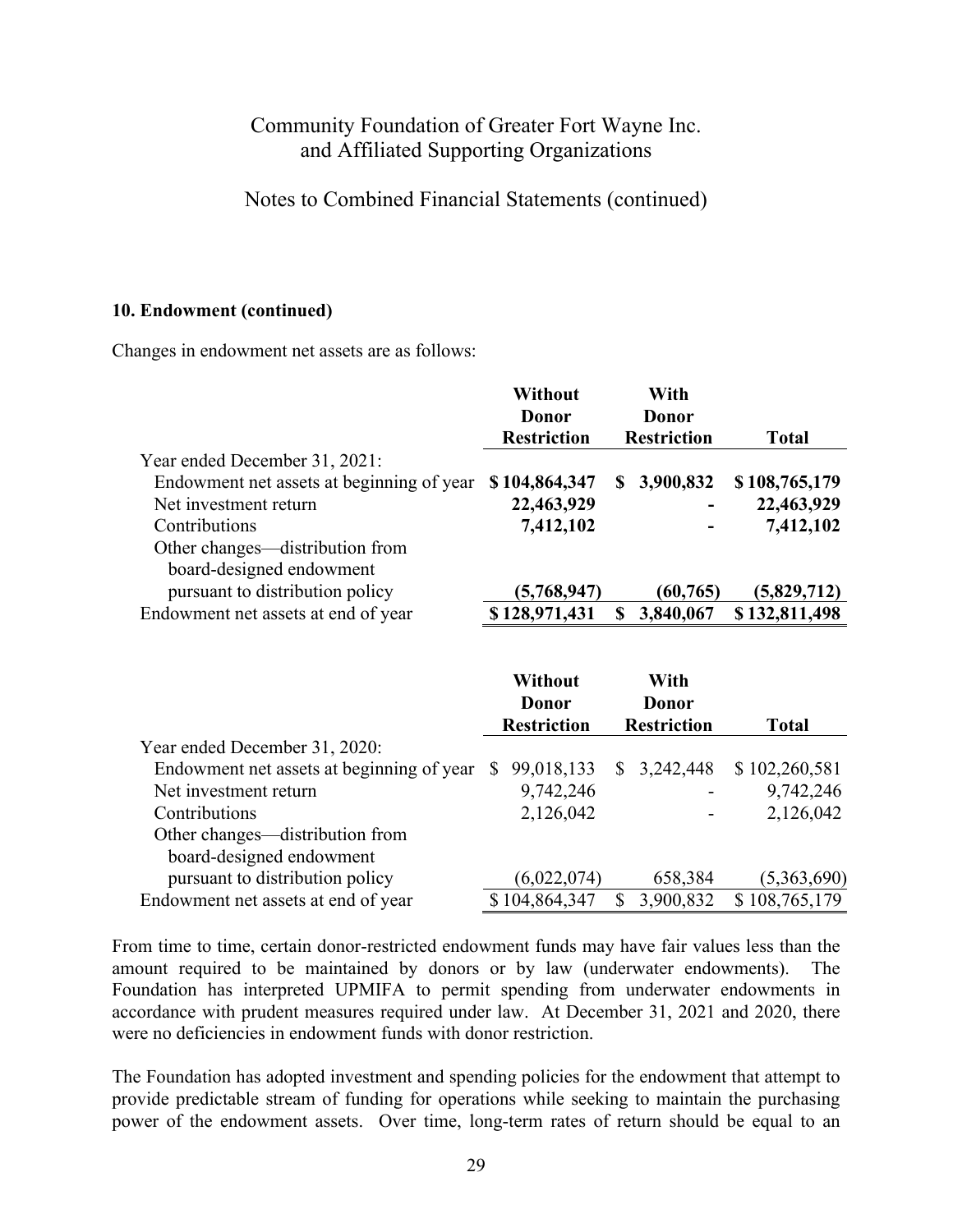### Notes to Combined Financial Statements (continued)

#### **10. Endowment (continued)**

Changes in endowment net assets are as follows:

|                                           | Without<br>Donor   |     | With<br>Donor            |               |
|-------------------------------------------|--------------------|-----|--------------------------|---------------|
|                                           | <b>Restriction</b> |     | <b>Restriction</b>       | <b>Total</b>  |
| Year ended December 31, 2021:             |                    |     |                          |               |
| Endowment net assets at beginning of year | \$104,864,347      | SS. | 3,900,832                | \$108,765,179 |
| Net investment return                     | 22,463,929         |     |                          | 22,463,929    |
| Contributions                             | 7,412,102          |     | $\overline{\phantom{0}}$ | 7,412,102     |
| Other changes—distribution from           |                    |     |                          |               |
| board-designed endowment                  |                    |     |                          |               |
| pursuant to distribution policy           | (5,768,947)        |     | (60, 765)                | (5,829,712)   |
| Endowment net assets at end of year       | \$128,971,431      |     | 3,840,067                | \$132,811,498 |

|                                           | Without<br>Donor<br><b>Restriction</b> |               | With<br>Donor<br><b>Restriction</b> |             | Total         |
|-------------------------------------------|----------------------------------------|---------------|-------------------------------------|-------------|---------------|
| Year ended December 31, 2020:             |                                        |               |                                     |             |               |
| Endowment net assets at beginning of year |                                        | 99,018,133    |                                     | \$3,242,448 | \$102,260,581 |
| Net investment return                     |                                        | 9,742,246     |                                     |             | 9,742,246     |
| Contributions                             |                                        | 2,126,042     |                                     |             | 2,126,042     |
| Other changes—distribution from           |                                        |               |                                     |             |               |
| board-designed endowment                  |                                        |               |                                     |             |               |
| pursuant to distribution policy           |                                        | (6,022,074)   |                                     | 658,384     | (5,363,690)   |
| Endowment net assets at end of year       |                                        | \$104,864,347 |                                     | 3,900,832   | \$108,765,179 |

From time to time, certain donor-restricted endowment funds may have fair values less than the amount required to be maintained by donors or by law (underwater endowments). The Foundation has interpreted UPMIFA to permit spending from underwater endowments in accordance with prudent measures required under law. At December 31, 2021 and 2020, there were no deficiencies in endowment funds with donor restriction.

The Foundation has adopted investment and spending policies for the endowment that attempt to provide predictable stream of funding for operations while seeking to maintain the purchasing power of the endowment assets. Over time, long-term rates of return should be equal to an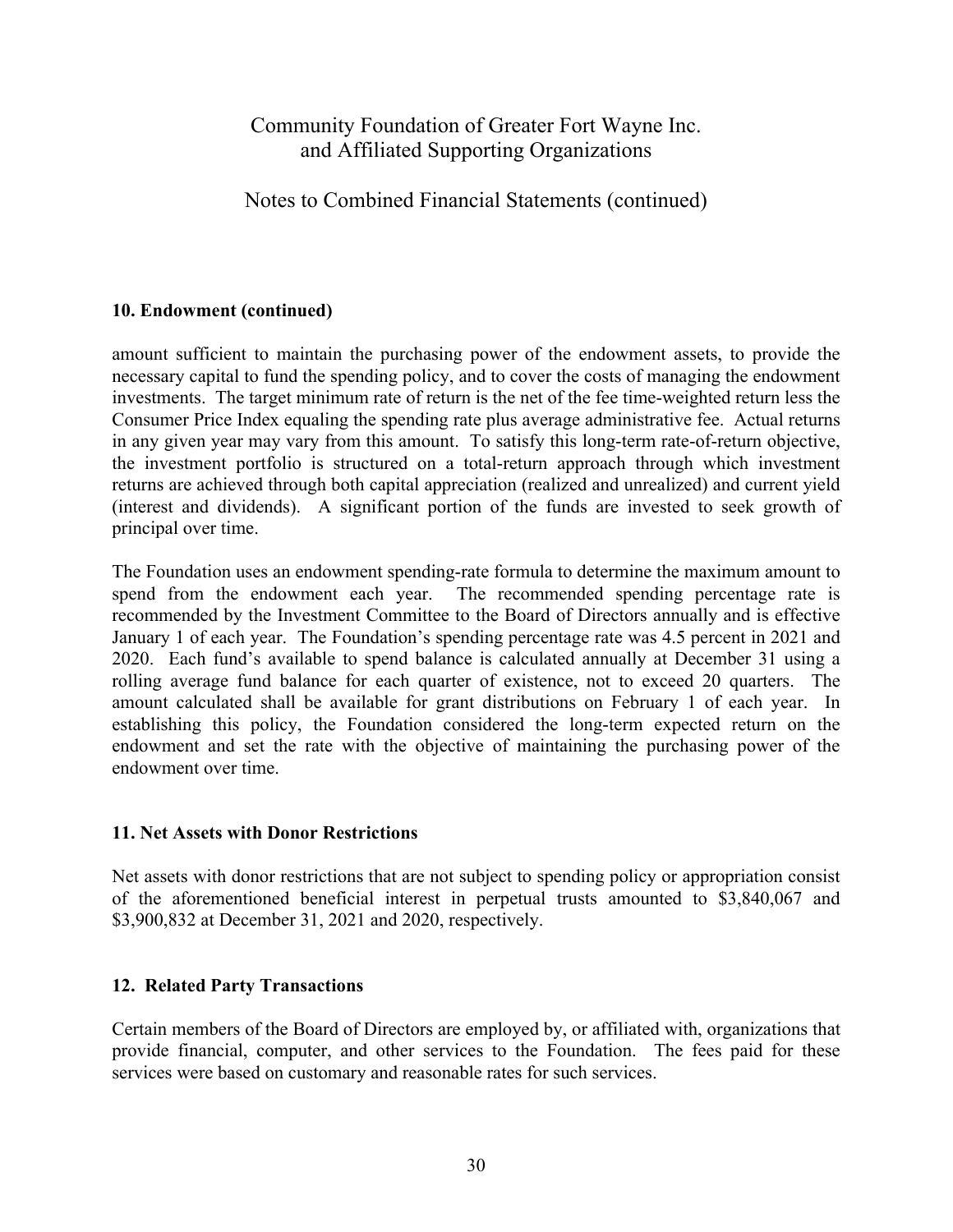Notes to Combined Financial Statements (continued)

### **10. Endowment (continued)**

amount sufficient to maintain the purchasing power of the endowment assets, to provide the necessary capital to fund the spending policy, and to cover the costs of managing the endowment investments. The target minimum rate of return is the net of the fee time-weighted return less the Consumer Price Index equaling the spending rate plus average administrative fee. Actual returns in any given year may vary from this amount. To satisfy this long-term rate-of-return objective, the investment portfolio is structured on a total-return approach through which investment returns are achieved through both capital appreciation (realized and unrealized) and current yield (interest and dividends). A significant portion of the funds are invested to seek growth of principal over time.

The Foundation uses an endowment spending-rate formula to determine the maximum amount to spend from the endowment each year. The recommended spending percentage rate is recommended by the Investment Committee to the Board of Directors annually and is effective January 1 of each year. The Foundation's spending percentage rate was 4.5 percent in 2021 and 2020. Each fund's available to spend balance is calculated annually at December 31 using a rolling average fund balance for each quarter of existence, not to exceed 20 quarters. The amount calculated shall be available for grant distributions on February 1 of each year. In establishing this policy, the Foundation considered the long-term expected return on the endowment and set the rate with the objective of maintaining the purchasing power of the endowment over time.

### **11. Net Assets with Donor Restrictions**

Net assets with donor restrictions that are not subject to spending policy or appropriation consist of the aforementioned beneficial interest in perpetual trusts amounted to \$3,840,067 and \$3,900,832 at December 31, 2021 and 2020, respectively.

### **12. Related Party Transactions**

Certain members of the Board of Directors are employed by, or affiliated with, organizations that provide financial, computer, and other services to the Foundation. The fees paid for these services were based on customary and reasonable rates for such services.